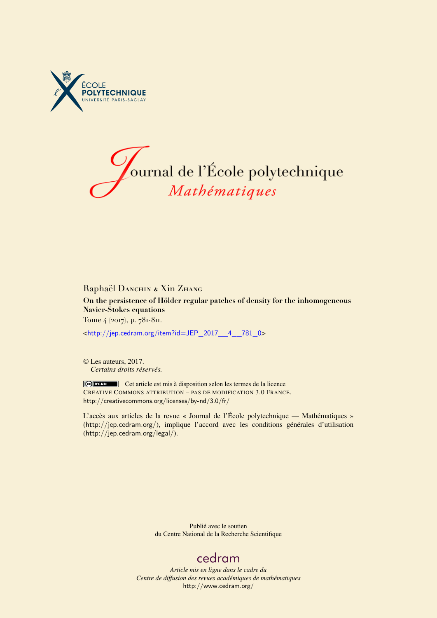



# Raphaël DANCHIN & Xin ZHANG

**On the persistence of Hölder regular patches of density for the inhomogeneous Navier-Stokes equations**

Tome 4 (2017), p. 781-811.

<[http://jep.cedram.org/item?id=JEP\\_2017\\_\\_4\\_\\_781\\_0](http://jep.cedram.org/item?id=JEP_2017__4__781_0)>

© Les auteurs, 2017. *Certains droits réservés.*

Cet article est mis à disposition selon les termes de la licence CREATIVE COMMONS ATTRIBUTION – PAS DE MODIFICATION 3.0 FRANCE. <http://creativecommons.org/licenses/by-nd/3.0/fr/>

L'accès aux articles de la revue « Journal de l'École polytechnique — Mathématiques » (<http://jep.cedram.org/>), implique l'accord avec les conditions générales d'utilisation (<http://jep.cedram.org/legal/>).

> Publié avec le soutien du Centre National de la Recherche Scientifique

# [cedram](http://www.cedram.org/)

*Article mis en ligne dans le cadre du Centre de diffusion des revues académiques de mathématiques* <http://www.cedram.org/>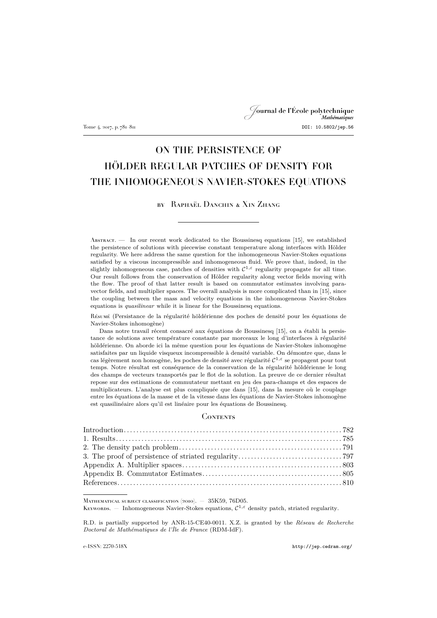Journal de l'École polytechnique Tome 4, 2017, p. 781–811 **DOI: 10.5802/jep.56** 

# ON THE PERSISTENCE OF HÖLDER REGULAR PATCHES OF DENSITY FOR THE INHOMOGENEOUS NAVIER-STOKES EQUATIONS

# by Raphaël Danchin & Xin Zhang

Abstract. — In our recent work dedicated to the Boussinesq equations [\[15\]](#page-31-0), we established the persistence of solutions with piecewise constant temperature along interfaces with Hölder regularity. We here address the same question for the inhomogeneous Navier-Stokes equations satisfied by a viscous incompressible and inhomogeneous fluid. We prove that, indeed, in the slightly inhomogeneous case, patches of densities with  $\mathcal{C}^{1,\varepsilon}$  regularity propagate for all time. Our result follows from the conservation of Hölder regularity along vector fields moving with the flow. The proof of that latter result is based on commutator estimates involving paravector fields, and multiplier spaces. The overall analysis is more complicated than in [\[15\]](#page-31-0), since the coupling between the mass and velocity equations in the inhomogeneous Navier-Stokes equations is *quasilinear* while it is linear for the Boussinesq equations.

Résumé (Persistance de la régularité höldérienne des poches de densité pour les équations de Navier-Stokes inhomogène)

Dans notre travail récent consacré aux équations de Boussinesq [\[15\]](#page-31-0), on a établi la persistance de solutions avec température constante par morceaux le long d'interfaces à régularité höldérienne. On aborde ici la même question pour les équations de Navier-Stokes inhomogène satisfaites par un liquide visqueux incompressible à densité variable. On démontre que, dans le cas légèrement non homogène, les poches de densité avec régularité  $C^{1,\varepsilon}$  se propagent pour tout temps. Notre résultat est conséquence de la conservation de la régularité höldérienne le long des champs de vecteurs transportés par le flot de la solution. La preuve de ce dernier résultat repose sur des estimations de commutateur mettant en jeu des para-champs et des espaces de multiplicateurs. L'analyse est plus compliquée que dans [\[15\]](#page-31-0), dans la mesure où le couplage entre les équations de la masse et de la vitesse dans les équations de Navier-Stokes inhomogène est quasilinéaire alors qu'il est linéaire pour les équations de Boussinesq.

#### **CONTENTS**

Mathematical subject classification (2010). — 35K59, 76D05.

KEYWORDS. – Inhomogeneous Navier-Stokes equations,  $C^{1,\epsilon}$  density patch, striated regularity.

R.D. is partially supported by ANR-15-CE40-0011. X.Z. is granted by the *Réseau de Recherche Doctoral de Mathématiques de l'Île de France* (RDM-IdF).

e-ISSN: 2270-518X <http://jep.cedram.org/>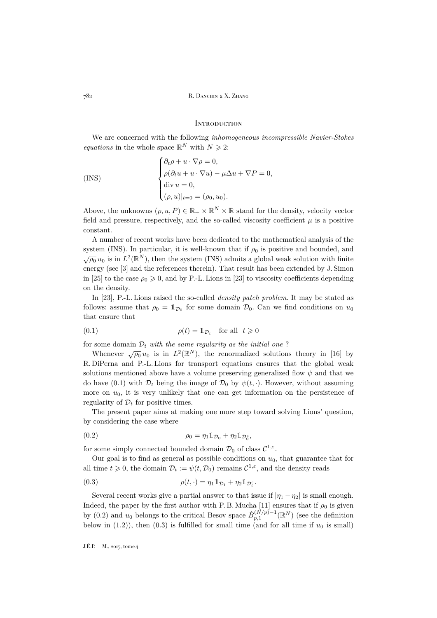## <span id="page-2-0"></span>**INTRODUCTION**

We are concerned with the following *inhomogeneous incompressible Navier-Stokes equations* in the whole space  $\mathbb{R}^N$  with  $N \geq 2$ :

<span id="page-2-1"></span>
$$
\begin{cases}\n\partial_t \rho + u \cdot \nabla \rho = 0, \\
\rho(\partial_t u + u \cdot \nabla u) - \mu \Delta u + \nabla P = 0, \\
\text{div } u = 0, \\
(\rho, u)|_{t=0} = (\rho_0, u_0).\n\end{cases}
$$

Above, the unknowns  $(\rho, u, P) \in \mathbb{R}_+ \times \mathbb{R}^N \times \mathbb{R}$  stand for the density, velocity vector field and pressure, respectively, and the so-called viscosity coefficient  $\mu$  is a positive constant.

A number of recent works have been dedicated to the mathematical analysis of the system [\(INS\)](#page-2-1). In particular, it is well-known that if  $\rho_0$  is positive and bounded, and  $\sqrt{\rho_0} u_0$  is in  $L^2(\mathbb{R}^N)$ , then the system [\(INS\)](#page-2-1) admits a global weak solution with finite energy (see [\[3\]](#page-30-1) and the references therein). That result has been extended by J. Simon in [\[25\]](#page-31-1) to the case  $\rho_0 \geq 0$ , and by P.-L. Lions in [\[23\]](#page-31-2) to viscosity coefficients depending on the density.

In [\[23\]](#page-31-2), P.-L. Lions raised the so-called *density patch problem*. It may be stated as follows: assume that  $\rho_0 = \mathbb{1}_{\mathcal{D}_0}$  for some domain  $\mathcal{D}_0$ . Can we find conditions on  $u_0$ that ensure that

<span id="page-2-2"></span>(0.1) 
$$
\rho(t) = \mathbb{1}_{\mathcal{D}_t} \quad \text{for all} \quad t \geq 0
$$

for some domain  $\mathcal{D}_t$  *with the same regularity as the initial one*?

Whenever  $\sqrt{\rho_0} u_0$  is in  $L^2(\mathbb{R}^N)$ , the renormalized solutions theory in [\[16\]](#page-31-3) by R. DiPerna and P.-L. Lions for transport equations ensures that the global weak solutions mentioned above have a volume preserving generalized flow  $\psi$  and that we do have [\(0.1\)](#page-2-2) with  $\mathcal{D}_t$  being the image of  $\mathcal{D}_0$  by  $\psi(t, \cdot)$ . However, without assuming more on  $u_0$ , it is very unlikely that one can get information on the persistence of regularity of  $\mathcal{D}_t$  for positive times.

The present paper aims at making one more step toward solving Lions' question, by considering the case where

<span id="page-2-3"></span>
$$
\rho_0 = \eta_1 \mathbb{1}_{\mathcal{D}_0} + \eta_2 \mathbb{1}_{\mathcal{D}_0^c},
$$

for some simply connected bounded domain  $\mathcal{D}_0$  of class  $\mathcal{C}^{1,\varepsilon}$ .

Our goal is to find as general as possible conditions on  $u_0$ , that guarantee that for all time  $t \geq 0$ , the domain  $\mathcal{D}_t := \psi(t, \mathcal{D}_0)$  remains  $\mathcal{C}^{1,\varepsilon}$ , and the density reads

<span id="page-2-4"></span>(0.3) 
$$
\rho(t, \cdot) = \eta_1 \mathbb{1}_{\mathcal{D}_t} + \eta_2 \mathbb{1}_{\mathcal{D}_t^c}.
$$

Several recent works give a partial answer to that issue if  $|\eta_1 - \eta_2|$  is small enough. Indeed, the paper by the first author with P.B. Mucha [\[11\]](#page-31-4) ensures that if  $\rho_0$  is given by [\(0.2\)](#page-2-3) and  $u_0$  belongs to the critical Besov space  $\dot{B}_{p,1}^{(N/p)-1}(\mathbb{R}^N)$  (see the definition below in  $(1.2)$ , then  $(0.3)$  is fulfilled for small time (and for all time if  $u_0$  is small)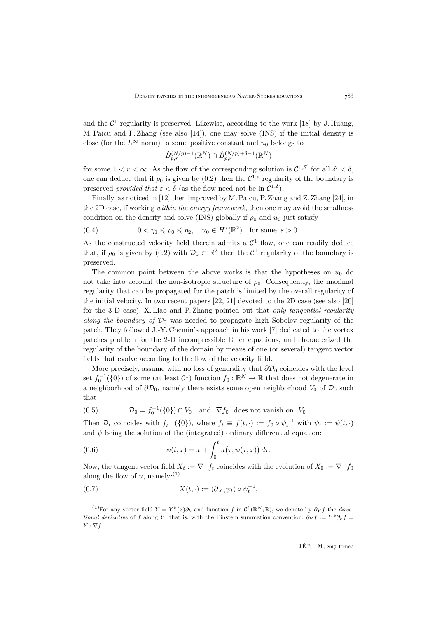and the  $\mathcal{C}^1$  regularity is preserved. Likewise, according to the work [\[18\]](#page-31-5) by J. Huang, M. Paicu and P. Zhang (see also [\[14\]](#page-31-6)), one may solve [\(INS\)](#page-2-1) if the initial density is close (for the  $L^{\infty}$  norm) to some positive constant and  $u_0$  belongs to

$$
\dot{B}^{(N/p)-1}_{p,r}(\mathbb{R}^N)\cap\dot{B}^{(N/p)+\delta-1}_{p,r}(\mathbb{R}^N)
$$

for some  $1 < r < \infty$ . As the flow of the corresponding solution is  $C^{1,\delta'}$  for all  $\delta' < \delta$ , one can deduce that if  $\rho_0$  is given by [\(0.2\)](#page-2-3) then the  $C^{1,\epsilon}$  regularity of the boundary is preserved *provided that*  $\varepsilon < \delta$  (as the flow need not be in  $\mathcal{C}^{1,\delta}$ ).

Finally, as noticed in [\[12\]](#page-31-7) then improved by M. Paicu, P. Zhang and Z. Zhang [\[24\]](#page-31-8), in the 2D case, if working *within the energy framework*, then one may avoid the smallness condition on the density and solve [\(INS\)](#page-2-1) globally if  $\rho_0$  and  $u_0$  just satisfy

$$
(0.4) \t 0 < \eta_1 \leqslant \rho_0 \leqslant \eta_2, \quad u_0 \in H^s(\mathbb{R}^2) \quad \text{for some } s > 0.
$$

As the constructed velocity field therein admits a  $\mathcal{C}^1$  flow, one can readily deduce that, if  $\rho_0$  is given by [\(0.2\)](#page-2-3) with  $\mathcal{D}_0 \subset \mathbb{R}^2$  then the  $\mathcal{C}^1$  regularity of the boundary is preserved.

The common point between the above works is that the hypotheses on  $u_0$  do not take into account the non-isotropic structure of  $\rho_0$ . Consequently, the maximal regularity that can be propagated for the patch is limited by the overall regularity of the initial velocity. In two recent papers [\[22,](#page-31-9) [21\]](#page-31-10) devoted to the 2D case (see also [\[20\]](#page-31-11) for the 3-D case), X. Liao and P. Zhang pointed out that *only tangential regularity along the boundary of*  $\mathcal{D}_0$  was needed to propagate high Sobolev regularity of the patch. They followed J.-Y. Chemin's approach in his work [\[7\]](#page-30-2) dedicated to the vortex patches problem for the 2-D incompressible Euler equations, and characterized the regularity of the boundary of the domain by means of one (or several) tangent vector fields that evolve according to the flow of the velocity field.

More precisely, assume with no loss of generality that  $\partial \mathcal{D}_0$  coincides with the level set  $f_0^{-1}(\{0\})$  of some (at least  $\mathcal{C}^1$ ) function  $f_0 : \mathbb{R}^N \to \mathbb{R}$  that does not degenerate in a neighborhood of  $\partial \mathcal{D}_0$ , namely there exists some open neighborhood  $V_0$  of  $\mathcal{D}_0$  such that

<span id="page-3-1"></span>(0.5) 
$$
\mathcal{D}_0 = f_0^{-1}(\{0\}) \cap V_0 \text{ and } \nabla f_0 \text{ does not vanish on } V_0.
$$

Then  $\mathcal{D}_t$  coincides with  $f_t^{-1}(\{0\})$ , where  $f_t \equiv f(t, \cdot) := f_0 \circ \psi_t^{-1}$  with  $\psi_t := \psi(t, \cdot)$ and  $\psi$  being the solution of the (integrated) ordinary differential equation:

<span id="page-3-0"></span>(0.6) 
$$
\psi(t,x) = x + \int_0^t u(\tau,\psi(\tau,x)) d\tau.
$$

Now, the tangent vector field  $X_t := \nabla^{\perp} f_t$  coincides with the evolution of  $X_0 := \nabla^{\perp} f_0$ along the flow of u, namely:<sup>(1)</sup>

<span id="page-3-2"></span>(0.7) 
$$
X(t, \cdot) := (\partial_{X_0} \psi_t) \circ \psi_t^{-1},
$$

<sup>&</sup>lt;sup>(1)</sup>For any vector field  $Y = Y^k(x)\partial_k$  and function f in  $\mathcal{C}^1(\mathbb{R}^N;\mathbb{R})$ , we denote by  $\partial_Y f$  the *directional derivative* of f along Y, that is, with the Einstein summation convention,  $\partial_Y f := Y^k \partial_k f =$  $Y \cdot \nabla f$ .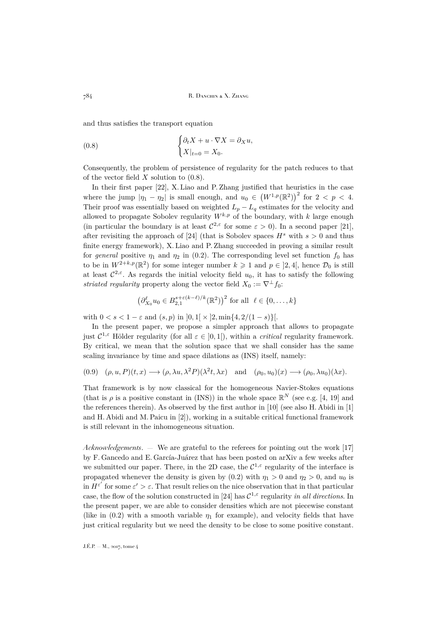and thus satisfies the transport equation

<span id="page-4-0"></span>(0.8) 
$$
\begin{cases} \partial_t X + u \cdot \nabla X = \partial_X u, \\ X|_{t=0} = X_0. \end{cases}
$$

Consequently, the problem of persistence of regularity for the patch reduces to that of the vector field  $X$  solution to  $(0.8)$ .

In their first paper [\[22\]](#page-31-9), X. Liao and P. Zhang justified that heuristics in the case where the jump  $|\eta_1 - \eta_2|$  is small enough, and  $u_0 \in (W^{1,p}(\mathbb{R}^2))^2$  for  $2 < p < 4$ . Their proof was essentially based on weighted  $L_p - L_q$  estimates for the velocity and allowed to propagate Sobolev regularity  $W^{k,p}$  of the boundary, with k large enough (in particular the boundary is at least  $C^{2,\epsilon}$  for some  $\epsilon > 0$ ). In a second paper [\[21\]](#page-31-10), after revisiting the approach of [\[24\]](#page-31-8) (that is Sobolev spaces  $H^s$  with  $s > 0$  and thus finite energy framework), X. Liao and P. Zhang succeeded in proving a similar result for *general* positive  $\eta_1$  and  $\eta_2$  in [\(0.2\)](#page-2-3). The corresponding level set function  $f_0$  has to be in  $W^{2+k,p}(\mathbb{R}^2)$  for some integer number  $k \geq 1$  and  $p \in ]2,4[$ , hence  $\mathcal{D}_0$  is still at least  $\mathcal{C}^{2,\varepsilon}$ . As regards the initial velocity field  $u_0$ , it has to satisfy the following *striated regularity* property along the vector field  $X_0 := \nabla^{\perp} f_0$ :

$$
\left(\partial_{X_0}^{\ell} u_0 \in B_{2,1}^{s+\varepsilon(k-\ell)/k}(\mathbb{R}^2)\right)^2 \text{ for all } \ell \in \{0,\ldots,k\}
$$

with  $0 < s < 1 - \varepsilon$  and  $(s, p)$  in  $[0, 1] \times [2, \min\{4, 2/(1-s)\}]$ .

In the present paper, we propose a simpler approach that allows to propagate just  $C^{1,\epsilon}$  Hölder regularity (for all  $\varepsilon \in (0,1]$ ), within a *critical* regularity framework. By critical, we mean that the solution space that we shall consider has the same scaling invariance by time and space dilations as [\(INS\)](#page-2-1) itself, namely:

$$
(0.9) \quad (\rho, u, P)(t, x) \longrightarrow (\rho, \lambda u, \lambda^2 P)(\lambda^2 t, \lambda x) \quad \text{and} \quad (\rho_0, u_0)(x) \longrightarrow (\rho_0, \lambda u_0)(\lambda x).
$$

That framework is by now classical for the homogeneous Navier-Stokes equations (that is  $\rho$  is a positive constant in [\(INS\)](#page-2-1)) in the whole space  $\mathbb{R}^N$  (see e.g. [\[4,](#page-30-3) [19\]](#page-31-12) and the references therein). As observed by the first author in [\[10\]](#page-31-13) (see also H. Abidi in [\[1\]](#page-30-4) and H. Abidi and M. Paicu in [\[2\]](#page-30-5)), working in a suitable critical functional framework is still relevant in the inhomogeneous situation.

*Acknowledgements*. — We are grateful to the referees for pointing out the work [\[17\]](#page-31-14) by F. Gancedo and E. García-Juárez that has been posted on arXiv a few weeks after we submitted our paper. There, in the 2D case, the  $\mathcal{C}^{1,\varepsilon}$  regularity of the interface is propagated whenever the density is given by [\(0.2\)](#page-2-3) with  $\eta_1 > 0$  and  $\eta_2 > 0$ , and  $u_0$  is in  $H^{\varepsilon'}$  for some  $\varepsilon' > \varepsilon$ . That result relies on the nice observation that in that particular case, the flow of the solution constructed in [\[24\]](#page-31-8) has  $C^{1,\epsilon}$  regularity *in all directions*. In the present paper, we are able to consider densities which are not piecewise constant (like in [\(0.2\)](#page-2-3) with a smooth variable  $\eta_1$  for example), and velocity fields that have just critical regularity but we need the density to be close to some positive constant.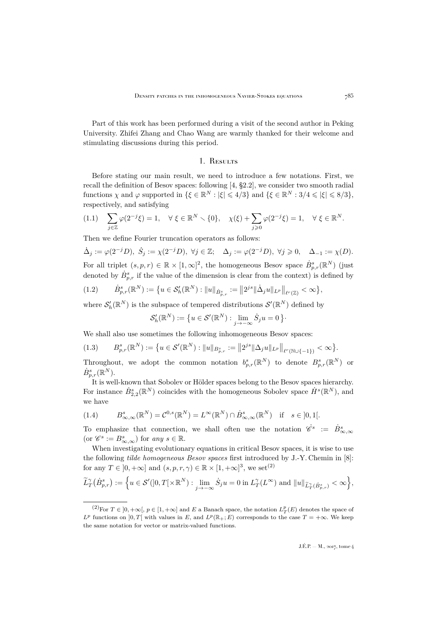Part of this work has been performed during a visit of the second author in Peking University. Zhifei Zhang and Chao Wang are warmly thanked for their welcome and stimulating discussions during this period.

### 1. Results

<span id="page-5-0"></span>Before stating our main result, we need to introduce a few notations. First, we recall the definition of Besov spaces: following [\[4,](#page-30-3) §2.2], we consider two smooth radial functions  $\chi$  and  $\varphi$  supported in  $\{\xi \in \mathbb{R}^N : |\xi| \leq 4/3\}$  and  $\{\xi \in \mathbb{R}^N : 3/4 \leq |\xi| \leq 8/3\},$ respectively, and satisfying

$$
(1.1) \quad \sum_{j\in\mathbb{Z}}\varphi(2^{-j}\xi)=1, \quad \forall \xi\in\mathbb{R}^N\smallsetminus\{0\}, \quad \chi(\xi)+\sum_{j\geqslant 0}\varphi(2^{-j}\xi)=1, \quad \forall \xi\in\mathbb{R}^N.
$$

Then we define Fourier truncation operators as follows:

 $\dot{\Delta}_j := \varphi(2^{-j}D), \ \dot{S}_j := \chi(2^{-j}D), \ \forall j \in \mathbb{Z}; \quad \Delta_j := \varphi(2^{-j}D), \ \forall j \geqslant 0, \quad \Delta_{-1} := \chi(D).$ For all triplet  $(s, p, r) \in \mathbb{R} \times [1, \infty]^2$ , the homogeneous Besov space  $\dot{B}_{p,r}^s(\mathbb{R}^N)$  (just denoted by  $\dot{B}_{p,r}^s$  if the value of the dimension is clear from the context) is defined by

<span id="page-5-1"></span>
$$
(1.2) \t\t \dot{B}_{p,r}^s(\mathbb{R}^N) := \{ u \in \mathcal{S}'_h(\mathbb{R}^N) : \|u\|_{\dot{B}_{p,r}^s} := \|2^{js}\|\dot{\Delta}_j u\|_{L^p}\|_{\ell^r(\mathbb{Z})} < \infty \},
$$

where  $\mathcal{S}'_h(\mathbb{R}^N)$  is the subspace of tempered distributions  $\mathcal{S}'(\mathbb{R}^N)$  defined by

$$
\mathcal{S}'_h(\mathbb{R}^N):=\big\{u\in \mathcal{S}'(\mathbb{R}^N):\lim_{j\to-\infty}\dot{S}_ju=0\,\big\}.
$$

We shall also use sometimes the following inhomogeneous Besov spaces:

$$
(1.3) \qquad B_{p,r}^{s}(\mathbb{R}^{N}) := \big\{ u \in \mathcal{S}'(\mathbb{R}^{N}) : ||u||_{B_{p,r}^{s}} := ||2^{js}||\Delta_{j}u||_{L^{p}}||_{\ell^{r}(\mathbb{N}\cup\{-1\})} < \infty \big\}.
$$

Throughout, we adopt the common notation  $b_{p,r}^s(\mathbb{R}^N)$  to denote  $B_{p,r}^s(\mathbb{R}^N)$  or  $\dot{B}^s_{p,r}({\mathbb{R}}^{N}).$ 

It is well-known that Sobolev or Hölder spaces belong to the Besov spaces hierarchy. For instance  $\dot{B}_{2,2}^s(\mathbb{R}^N)$  coincides with the homogeneous Sobolev space  $\dot{H}^s(\mathbb{R}^N)$ , and we have

(1.4) 
$$
B_{\infty,\infty}^s(\mathbb{R}^N) = \mathcal{C}^{0,s}(\mathbb{R}^N) = L^{\infty}(\mathbb{R}^N) \cap \dot{B}_{\infty,\infty}^s(\mathbb{R}^N) \text{ if } s \in ]0,1[.
$$

To emphasize that connection, we shall often use the notation  $\hat{\mathscr{C}}^s := \hat{B}^s_{\infty,\infty}$ (or  $\mathscr{C}^s := B^s_{\infty,\infty}$ ) for any  $s \in \mathbb{R}$ .

When investigating evolutionary equations in critical Besov spaces, it is wise to use the following *tilde homogeneous Besov spaces* first introduced by J.-Y. Chemin in [\[8\]](#page-30-6): for any  $T \in [0, +\infty]$  and  $(s, p, r, \gamma) \in \mathbb{R} \times [1, +\infty]^3$ , we set<sup>(2)</sup>

$$
\widetilde{L}_T^{\gamma}(\dot{B}_{p,r}^s) := \Big\{ u \in \mathcal{S}'([0,T[\times \mathbb{R}^N) : \lim_{j \to -\infty} \dot{S}_j u = 0 \text{ in } L_T^{\gamma}(L^{\infty}) \text{ and } ||u||_{\widetilde{L}_T^{\gamma}(\dot{B}_{p,r}^s)} < \infty \Big\},\
$$

<sup>&</sup>lt;sup>(2)</sup>For  $T \in ]0, +\infty[$ ,  $p \in [1, +\infty]$  and E a Banach space, the notation  $L^p_T(E)$  denotes the space of  $L^p$  functions on  $]0,T[$  with values in E, and  $L^p(\mathbb{R}_+;E)$  corresponds to the case  $T = +\infty$ . We keep the same notation for vector or matrix-valued functions.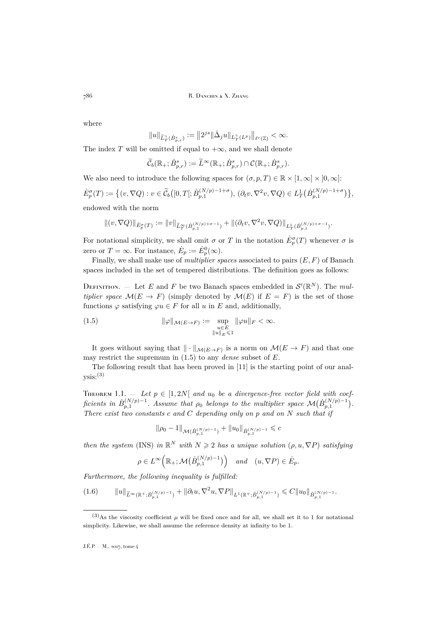where

$$
\|u\|_{\widetilde{L}^\gamma_T(\dot{B}^s_{p,r})}:=\big\|2^{js}\|\dot{\Delta}_j u\|_{L^\gamma_T(L^p)}\big\|_{\ell^r(\mathbb{Z})}<\infty.
$$

The index T will be omitted if equal to  $+\infty$ , and we shall denote

$$
\widetilde{\mathcal{C}}_b(\mathbb{R}_+;\dot{B}^s_{p,r}):=\widetilde{L}^\infty(\mathbb{R}_+;\dot{B}^s_{p,r})\cap\mathcal{C}(\mathbb{R}_+;\dot{B}^s_{p,r}).
$$

We also need to introduce the following spaces for  $(\sigma, p, T) \in \mathbb{R} \times [1, \infty] \times [0, \infty]$ :  $\dot{E}_p^{\sigma}(T) := \left\{ (v, \nabla Q) : v \in \widetilde{\mathcal{C}}_b([0, T[; \dot{B}_{p,1}^{(N/p)-1+\sigma}), (\partial_t v, \nabla^2 v, \nabla Q) \in L_T^1(\dot{B}_{p,1}^{(N/p)-1+\sigma}) \right\},$ 

endowed with the norm

$$
\|(v,\nabla Q)\|_{\dot{E}^\sigma_p(T)}:=\|v\|_{\widetilde{L}^\infty_T(\dot{B}_{p,1}^{(N/p)+\sigma-1})}+\|(\partial_t v,\nabla^2 v,\nabla Q)\|_{L^1_T(\dot{B}_{p,1}^{(N/p)+\sigma-1})}.
$$

For notational simplicity, we shall omit  $\sigma$  or T in the notation  $\dot{E}_p^{\sigma}(T)$  whenever  $\sigma$  is zero or  $T = \infty$ . For instance,  $\dot{E}_p := \dot{E}_p^0(\infty)$ .

Finally, we shall make use of *multiplier spaces* associated to pairs (E, F) of Banach spaces included in the set of tempered distributions. The definition goes as follows:

DEFINITION. – Let E and F be two Banach spaces embedded in  $\mathcal{S}'(\mathbb{R}^N)$ . The mul*tiplier space*  $\mathcal{M}(E \to F)$  (simply denoted by  $\mathcal{M}(E)$  if  $E = F$ ) is the set of those functions  $\varphi$  satisfying  $\varphi u \in F$  for all u in E and, additionally,

<span id="page-6-0"></span>(1.5) 
$$
\|\varphi\|_{\mathcal{M}(E\to F)} := \sup_{\substack{u \in E \\ \|u\|_E \leq 1}} \|\varphi u\|_F < \infty.
$$

It goes without saying that  $\|\cdot\|_{\mathcal{M}(E\to F)}$  is a norm on  $\mathcal{M}(E \to F)$  and that one may restrict the supremum in [\(1.5\)](#page-6-0) to any *dense* subset of E.

The following result that has been proved in [\[11\]](#page-31-4) is the starting point of our analysis:(3)

<span id="page-6-1"></span>THEOREM 1.1.  $-$  Let  $p \in [1, 2N]$  and  $u_0$  be a divergence-free vector field with coef $ficients \, \, in \, \, \dot{B}_{p,1}^{(N/p)-1}$ . Assume that  $\rho_0$  belongs to the multiplier space  $\mathcal{M}(\dot{B}_{p,1}^{(N/p)-1})$ . *There exist two constants* c *and* C *depending only on* p *and on* N *such that if*

$$
\|\rho_0-1\|_{\mathcal{M}(\dot{B}_{p,1}^{(N/p)-1})}+\|u_0\|_{\dot{B}_{p,1}^{(N/p)-1}}\leqslant c
$$

*then the system* [\(INS\)](#page-2-1) *in*  $\mathbb{R}^N$  *with*  $N \geq 2$  *has a unique solution*  $(\rho, u, \nabla P)$  *satisfying* 

$$
\rho\in L^\infty\Big(\mathbb{R}_+;\mathcal{M}\big(\dot B^{(N/p)-1}_{p,1}\big)\Big)\quad\text{and}\quad (u,\nabla P)\in \dot E_p.
$$

*Furthermore, the following inequality is fulfilled:*

<span id="page-6-2"></span>
$$
(1.6) \t\t\t\t||u||_{\widetilde{L}^{\infty}(\mathbb{R}^+;\dot{B}_{p,1}^{(N/p)-1})} + ||\partial_t u, \nabla^2 u, \nabla P||_{L^1(\mathbb{R}^+;\dot{B}_{p,1}^{(N/p)-1})} \leq C||u_0||_{\dot{B}_{p,1}^{(N/p)-1}}.
$$

 $(3)$ As the viscosity coefficient  $\mu$  will be fixed once and for all, we shall set it to 1 for notational simplicity. Likewise, we shall assume the reference density at infinity to be 1.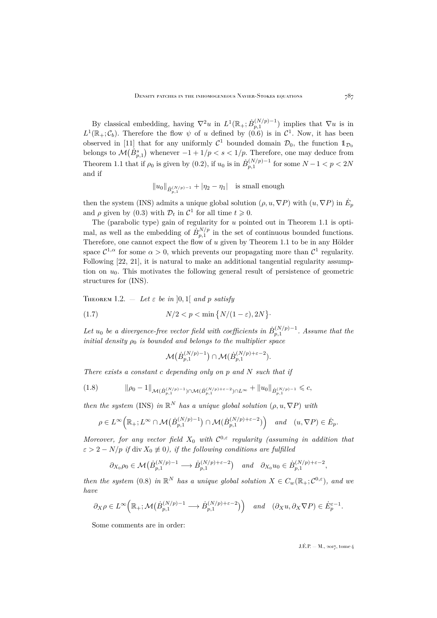By classical embedding, having  $\nabla^2 u$  in  $L^1(\mathbb{R}_+;\dot{B}_{p,1}^{(N/p)-1})$  implies that  $\nabla u$  is in  $L^1(\mathbb{R}_+;\mathcal{C}_b)$ . Therefore the flow  $\psi$  of u defined by  $(0.6)$  is in  $\mathcal{C}^1$ . Now, it has been observed in [\[11\]](#page-31-4) that for any uniformly  $\mathcal{C}^1$  bounded domain  $\mathcal{D}_0$ , the function  $\mathbb{1}_{\mathcal{D}_0}$ belongs to  $\mathcal{M}(\dot{B}_{p,1}^s)$  whenever  $-1+1/p < s < 1/p$ . Therefore, one may deduce from Theorem [1.1](#page-6-1) that if  $\rho_0$  is given by [\(0.2\)](#page-2-3), if  $u_0$  is in  $\dot{B}_{p,1}^{(N/p)-1}$  for some  $N-1 < p < 2N$ and if

$$
||u_0||_{\dot{B}_{p,1}^{(N/p)-1}} + |\eta_2 - \eta_1|
$$
 is small enough

then the system [\(INS\)](#page-2-1) admits a unique global solution  $(\rho, u, \nabla P)$  with  $(u, \nabla P)$  in  $\dot{E}_p$ and  $\rho$  given by [\(0.3\)](#page-2-4) with  $\mathcal{D}_t$  in  $\mathcal{C}^1$  for all time  $t \geq 0$ .

The (parabolic type) gain of regularity for u pointed out in Theorem [1.1](#page-6-1) is optimal, as well as the embedding of  $\dot{B}_{p,1}^{N/p}$  in the set of continuous bounded functions. Therefore, one cannot expect the flow of  $u$  given by Theorem [1.1](#page-6-1) to be in any Hölder space  $C^{1,\alpha}$  for some  $\alpha > 0$ , which prevents our propagating more than  $C^1$  regularity. Following [\[22,](#page-31-9) [21\]](#page-31-10), it is natural to make an additional tangential regularity assumption on  $u_0$ . This motivates the following general result of persistence of geometric structures for [\(INS\)](#page-2-1).

<span id="page-7-0"></span>THEOREM 1.2.  $-\text{Let } \varepsilon$  be in [0, 1] and p satisfy

$$
(1.7) \t\t N/2 < p < \min\left\{N/(1-\varepsilon), 2N\right\}
$$

Let  $u_0$  be a divergence-free vector field with coefficients in  $\dot{B}_{p,1}^{(N/p)-1}$ . Assume that the *initial density*  $\rho_0$  *is bounded and belongs to the multiplier space* 

<span id="page-7-2"></span>
$$
\mathcal{M}(\dot{B}_{p,1}^{(N/p)-1})\cap \mathcal{M}(\dot{B}_{p,1}^{(N/p)+\varepsilon-2}).
$$

*There exists a constant* c *depending only on* p *and* N *such that if*

<span id="page-7-1"></span>
$$
(1.8) \t\t ||\rho_0 - 1||_{\mathcal{M}(\dot{B}_{p,1}^{(N/p)-1}) \cap \mathcal{M}(\dot{B}_{p,1}^{(N/p)+\varepsilon-2}) \cap L^{\infty}} + ||u_0||_{\dot{B}_{p,1}^{(N/p)-1}} \leq c,
$$

*then the system* [\(INS\)](#page-2-1) *in*  $\mathbb{R}^N$  *has a unique global solution*  $(\rho, u, \nabla P)$  *with* 

$$
\rho \in L^{\infty}\Big(\mathbb{R}_+; L^{\infty}\cap \mathcal{M}\big(\dot{B}_{p,1}^{(N/p)-1}\big) \cap \mathcal{M}(\dot{B}_{p,1}^{(N/p)+\varepsilon-2})\Big) \quad \text{and} \quad (u, \nabla P) \in \dot{E}_p.
$$

*Moreover, for any vector field*  $X_0$  *with*  $C^{0,\varepsilon}$  *regularity (assuming in addition that*  $\varepsilon > 2 - N/p$  *if* div  $X_0 \not\equiv 0$ *), if the following conditions are fulfilled* 

$$
\partial_{X_0}\rho_0 \in \mathcal{M}(\dot{B}_{p,1}^{(N/p)-1} \longrightarrow \dot{B}_{p,1}^{(N/p)+\varepsilon-2}) \quad \text{and} \quad \partial_{X_0}u_0 \in \dot{B}_{p,1}^{(N/p)+\varepsilon-2},
$$

*then the system* [\(0.8\)](#page-4-0) *in*  $\mathbb{R}^N$  *has a unique global solution*  $X \in C_w(\mathbb{R}_+; \mathcal{C}^{0,\varepsilon})$ *, and we have*

$$
\partial_X \rho \in L^{\infty}\Big(\mathbb{R}_+; \mathcal{M}\big(\dot{B}_{p,1}^{(N/p)-1} \longrightarrow \dot{B}_{p,1}^{(N/p)+\varepsilon-2}\big)\Big) \quad \text{and} \quad (\partial_X u, \partial_X \nabla P) \in \dot{E}_p^{\varepsilon-1}.
$$

Some comments are in order: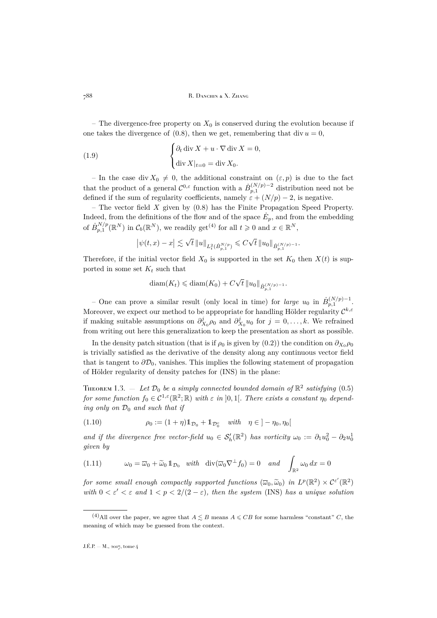788 R. DANCHIN & X. ZHANG

– The divergence-free property on  $X_0$  is conserved during the evolution because if one takes the divergence of  $(0.8)$ , then we get, remembering that div  $u = 0$ ,

(1.9) 
$$
\begin{cases} \partial_t \operatorname{div} X + u \cdot \nabla \operatorname{div} X = 0, \\ \operatorname{div} X|_{t=0} = \operatorname{div} X_0. \end{cases}
$$

– In the case div  $X_0 \neq 0$ , the additional constraint on  $(\varepsilon, p)$  is due to the fact that the product of a general  $\mathcal{C}^{0,\varepsilon}$  function with a  $\dot{B}_{p,1}^{(N/p)-2}$  distribution need not be defined if the sum of regularity coefficients, namely  $\varepsilon + (N/p) - 2$ , is negative.

– The vector field  $X$  given by  $(0.8)$  has the Finite Propagation Speed Property. Indeed, from the definitions of the flow and of the space  $\dot{E}_p$ , and from the embedding of  $\dot{B}_{p,1}^{N/p}(\mathbb{R}^N)$  in  $\mathcal{C}_b(\mathbb{R}^N)$ , we readily get<sup>(4)</sup> for all  $t \geq 0$  and  $x \in \mathbb{R}^N$ ,

$$
\left|\psi(t,x)-x\right|\lesssim \sqrt{t}\left\|u\right\|_{L^{2}_{t}(\dot{B}^{N/p}_{p,1})}\leqslant C\sqrt{t}\left\|u_{0}\right\|_{\dot{B}^{(N/p)-1}_{p,1}}.
$$

Therefore, if the initial vector field  $X_0$  is supported in the set  $K_0$  then  $X(t)$  is supported in some set  $K_t$  such that

$$
diam(K_t) \leq diam(K_0) + C\sqrt{t} ||u_0||_{\dot{B}_{p,1}^{(N/p)-1}}.
$$

– One can prove a similar result (only local in time) for *large*  $u_0$  in  $\dot{B}_{p,1}^{(N/p)-1}$ . Moreover, we expect our method to be appropriate for handling Hölder regularity  $\mathcal{C}^{k,\varepsilon}$ if making suitable assumptions on  $\partial_{X_0}^j \rho_0$  and  $\partial_{X_0}^j u_0$  for  $j = 0, \ldots, k$ . We refrained from writing out here this generalization to keep the presentation as short as possible.

In the density patch situation (that is if  $\rho_0$  is given by [\(0.2\)](#page-2-3)) the condition on  $\partial_{X_0}\rho_0$ is trivially satisfied as the derivative of the density along any continuous vector field that is tangent to  $\partial \mathcal{D}_0$ , vanishes. This implies the following statement of propagation of Hölder regularity of density patches for [\(INS\)](#page-2-1) in the plane:

<span id="page-8-0"></span>THEOREM 1.3.  $-$  Let  $\mathcal{D}_0$  be a simply connected bounded domain of  $\mathbb{R}^2$  satisfying [\(0.5\)](#page-3-1) *for some function*  $f_0 \in C^{1,\epsilon}(\mathbb{R}^2;\mathbb{R})$  *with*  $\epsilon$  *in*  $]0,1[$ *. There exists a constant*  $\eta_0$  *depending only on*  $\mathcal{D}_0$  *and such that if* 

<span id="page-8-1"></span>(1.10) 
$$
\rho_0 := (1 + \eta) \mathbb{1}_{\mathcal{D}_0} + \mathbb{1}_{\mathcal{D}_0^c} \quad with \quad \eta \in ]-\eta_0, \eta_0[
$$

and if the divergence free vector-field  $u_0 \in S'_h(\mathbb{R}^2)$  has vorticity  $\omega_0 := \partial_1 u_0^2 - \partial_2 u_0^1$ *given by*

<span id="page-8-2"></span>(1.11) 
$$
\omega_0 = \overline{\omega}_0 + \widetilde{\omega}_0 \mathbb{1}_{\mathcal{D}_0} \quad \text{with} \quad \text{div}(\overline{\omega}_0 \nabla^{\perp} f_0) = 0 \quad \text{and} \quad \int_{\mathbb{R}^2} \omega_0 dx = 0
$$

*for some small enough compactly supported functions*  $(\overline{\omega}_0, \widetilde{\omega}_0)$  *in*  $L^p(\mathbb{R}^2) \times C^{\varepsilon'}(\mathbb{R}^2)$ <br>with  $0 \leqslant \epsilon' \leqslant e$  and  $1 \leqslant r \leqslant 2$  ((2) a) than the system (INS) has a unique solution *with*  $0 < \varepsilon' < \varepsilon$  and  $1 < p < 2/(2 - \varepsilon)$ , then the system [\(INS\)](#page-2-1) has a unique solution

<sup>&</sup>lt;sup>(4)</sup>All over the paper, we agree that  $A \lesssim B$  means  $A \leqslant CB$  for some harmless "constant" C, the meaning of which may be guessed from the context.

J.É.P. — M., 2017, tome 4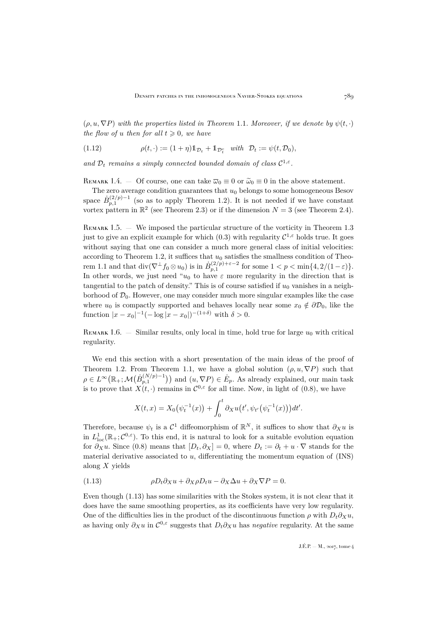$(\rho, u, \nabla P)$  *with the properties listed in Theorem [1.1](#page-6-1). Moreover, if we denote by*  $\psi(t, \cdot)$ *the flow of u then for all*  $t \geq 0$ *, we have* 

<span id="page-9-1"></span>(1.12) 
$$
\rho(t, \cdot) := (1 + \eta) \mathbb{1}_{\mathcal{D}_t} + \mathbb{1}_{\mathcal{D}_t^c} \text{ with } \mathcal{D}_t := \psi(t, \mathcal{D}_0),
$$

and  $\mathcal{D}_t$  *remains a simply connected bounded domain of class*  $C^{1,\varepsilon}$ .

REMARK 1.4. — Of course, one can take  $\overline{\omega}_0 \equiv 0$  or  $\widetilde{\omega}_0 \equiv 0$  in the above statement.

The zero average condition guarantees that  $u_0$  belongs to some homogeneous Besov space  $\dot{B}_{p,1}^{(2/p)-1}$  (so as to apply Theorem [1.2\)](#page-7-0). It is not needed if we have constant vortex pattern in  $\mathbb{R}^2$  (see Theorem [2.3\)](#page-14-0) or if the dimension  $N = 3$  (see Theorem [2.4\)](#page-15-0).

REMARK 1.5. — We imposed the particular structure of the vorticity in Theorem [1.3](#page-8-0) just to give an explicit example for which  $(0.3)$  with regularity  $\mathcal{C}^{1,\varepsilon}$  holds true. It goes without saying that one can consider a much more general class of initial velocities: according to Theorem [1.2,](#page-7-0) it suffices that  $u_0$  satisfies the smallness condition of Theo-rem [1.1](#page-6-1) and that  $\text{div}(\nabla^{\perp} f_0 \otimes u_0)$  is in  $\dot{B}_{p,1}^{(2/p)+\varepsilon-2}$  for some  $1 < p < \min\{4, 2/(1-\varepsilon)\}.$ In other words, we just need " $u_0$  to have  $\varepsilon$  more regularity in the direction that is tangential to the patch of density." This is of course satisfied if  $u_0$  vanishes in a neighborhood of  $\mathcal{D}_0$ . However, one may consider much more singular examples like the case where  $u_0$  is compactly supported and behaves locally near some  $x_0 \notin \partial \mathcal{D}_0$ , like the function  $|x - x_0|^{-1}(-\log|x - x_0|)^{-(1+\delta)}$  with  $\delta > 0$ .

REMARK 1.6. — Similar results, only local in time, hold true for large  $u_0$  with critical regularity.

We end this section with a short presentation of the main ideas of the proof of Theorem [1.2.](#page-7-0) From Theorem [1.1,](#page-6-1) we have a global solution  $(\rho, u, \nabla P)$  such that  $\rho \in L^{\infty}(\mathbb{R}_+;\mathcal{M}(\dot{B}_{p,1}^{(N/p)-1}))$  and  $(u,\nabla P) \in \dot{E}_p$ . As already explained, our main task is to prove that  $X(t, \cdot)$  remains in  $\mathcal{C}^{0,\varepsilon}$  for all time. Now, in light of [\(0.8\)](#page-4-0), we have

$$
X(t,x) = X_0(\psi_t^{-1}(x)) + \int_0^t \partial_X u(t', \psi_{t'}(\psi_t^{-1}(x))) dt'.
$$

Therefore, because  $\psi_t$  is a  $\mathcal{C}^1$  diffeomorphism of  $\mathbb{R}^N$ , it suffices to show that  $\partial_X u$  is in  $L^1_{loc}(\mathbb{R}_+;\mathcal{C}^{0,\varepsilon})$ . To this end, it is natural to look for a suitable evolution equation for  $\partial_X u$ . Since [\(0.8\)](#page-4-0) means that  $[D_t, \partial_X] = 0$ , where  $D_t := \partial_t + u \cdot \nabla$  stands for the material derivative associated to  $u$ , differentiating the momentum equation of  $(INS)$ along  $X$  yields

<span id="page-9-0"></span>(1.13) 
$$
\rho D_t \partial_X u + \partial_X \rho D_t u - \partial_X \Delta u + \partial_X \nabla P = 0.
$$

Even though [\(1.13\)](#page-9-0) has some similarities with the Stokes system, it is not clear that it does have the same smoothing properties, as its coefficients have very low regularity. One of the difficulties lies in the product of the discontinuous function  $\rho$  with  $D_t\partial_Xu$ , as having only  $\partial_X u$  in  $\mathcal{C}^{0,\varepsilon}$  suggests that  $D_t\partial_X u$  has *negative* regularity. At the same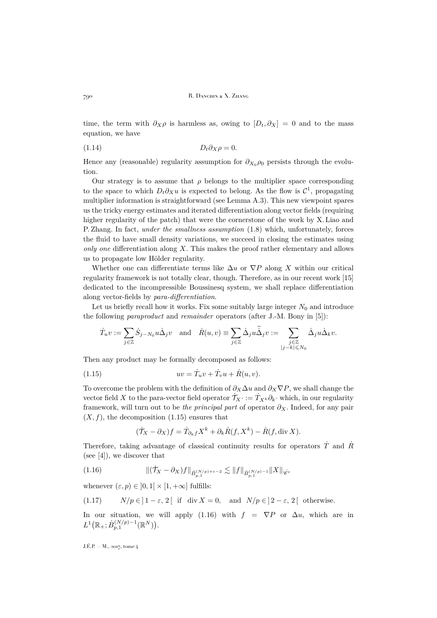time, the term with  $\partial_X \rho$  is harmless as, owing to  $[D_t, \partial_X] = 0$  and to the mass equation, we have

<span id="page-10-2"></span>
$$
(1.14) \t\t D_t \partial_X \rho = 0.
$$

Hence any (reasonable) regularity assumption for  $\partial_{X_0} \rho_0$  persists through the evolution.

Our strategy is to assume that  $\rho$  belongs to the multiplier space corresponding to the space to which  $D_t \partial_X u$  is expected to belong. As the flow is  $\mathcal{C}^1$ , propagating multiplier information is straightforward (see Lemma [A.3\)](#page-24-0). This new viewpoint spares us the tricky energy estimates and iterated differentiation along vector fields (requiring higher regularity of the patch) that were the cornerstone of the work by X. Liao and P. Zhang. In fact, *under the smallness assumption* [\(1.8\)](#page-7-1) which, unfortunately, forces the fluid to have small density variations, we succeed in closing the estimates using *only one* differentiation along X. This makes the proof rather elementary and allows us to propagate low Hölder regularity.

Whether one can differentiate terms like  $\Delta u$  or  $\nabla P$  along X within our critical regularity framework is not totally clear, though. Therefore, as in our recent work [\[15\]](#page-31-0) dedicated to the incompressible Boussinesq system, we shall replace differentiation along vector-fields by *para-differentiation*.

Let us briefly recall how it works. Fix some suitably large integer  $N_0$  and introduce the following *paraproduct* and *remainder* operators (after J.-M. Bony in [\[5\]](#page-30-7)):

$$
\dot{T}_u v := \sum_{j \in \mathbb{Z}} \dot{S}_{j-N_0} u \dot{\Delta}_j v \quad \text{and} \quad \dot{R}(u, v) \equiv \sum_{j \in \mathbb{Z}} \dot{\Delta}_j u \ddot{\dot{\Delta}}_j v := \sum_{\substack{j \in \mathbb{Z} \\ |j-k| \leqslant N_0}} \dot{\Delta}_j u \dot{\Delta}_k v.
$$

Then any product may be formally decomposed as follows:

(1.15) 
$$
uv = \dot{T}_u v + \dot{T}_v u + \dot{R}(u, v).
$$

To overcome the problem with the definition of  $\partial_X \Delta u$  and  $\partial_X \nabla P$ , we shall change the vector field X to the para-vector field operator  $\mathcal{T}_{X}$  : =  $\mathcal{T}_{X} \mathcal{R} \partial_k$  which, in our regularity framework, will turn out to be *the principal part* of operator  $\partial_X$ . Indeed, for any pair  $(X, f)$ , the decomposition  $(1.15)$  ensures that

<span id="page-10-1"></span><span id="page-10-0"></span>
$$
(\dot{\mathcal{T}}_X - \partial_X)f = \dot{\mathcal{T}}_{\partial_k f} X^k + \partial_k \dot{R}(f, X^k) - \dot{R}(f, \text{div } X).
$$

Therefore, taking advantage of classical continuity results for operators  $\dot{T}$  and  $\dot{R}$ (see [\[4\]](#page-30-3)), we discover that

(1.16) 
$$
\|(\dot{T}_X - \partial_X)f\|_{\dot{B}_{p,1}^{(N/p)+\varepsilon-2}} \lesssim \|f\|_{\dot{B}_{p,1}^{(N/p)-1}} \|X\|_{\dot{\mathscr{C}}^{\varepsilon}}
$$

whenever  $(\varepsilon, p) \in [0, 1] \times [1, +\infty]$  fulfills:

<span id="page-10-3"></span>(1.17) 
$$
N/p \in ]1-\varepsilon, 2[
$$
 if div  $X = 0$ , and  $N/p \in ]2-\varepsilon, 2[$  otherwise.

In our situation, we will apply [\(1.16\)](#page-10-1) with  $f = \nabla P$  or  $\Delta u$ , which are in  $L^1\big(\mathbb{R}_+;\dot B^{(N/p)-1}_{p,1}(\mathbb{R}^N)\big).$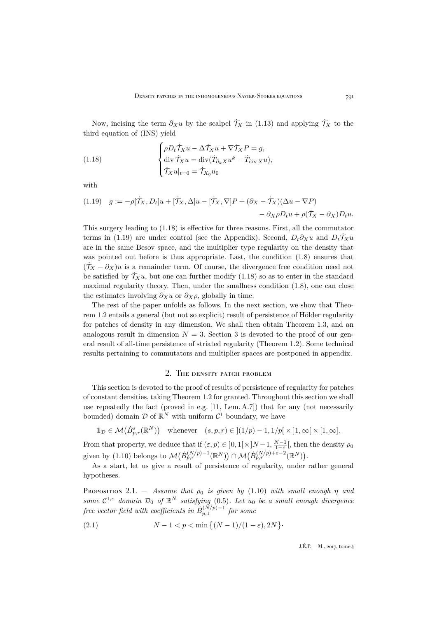Now, incising the term  $\partial_X u$  by the scalpel  $\dot{\mathcal{T}}_X$  in [\(1.13\)](#page-9-0) and applying  $\dot{\mathcal{T}}_X$  to the third equation of [\(INS\)](#page-2-1) yield

<span id="page-11-1"></span>(1.18) 
$$
\begin{cases} \rho D_t \dot{\mathcal{T}}_X u - \Delta \dot{\mathcal{T}}_X u + \nabla \dot{\mathcal{T}}_X P = g, \\ \operatorname{div} \dot{\mathcal{T}}_X u = \operatorname{div} (\dot{T}_{\partial_k X} u^k - \dot{T}_{\operatorname{div} X} u), \\ \dot{\mathcal{T}}_X u|_{t=0} = \dot{\mathcal{T}}_{X_0} u_0 \end{cases}
$$

with

<span id="page-11-2"></span>(1.19) 
$$
g := -\rho[\dot{\mathcal{T}}_X, D_t]u + [\dot{\mathcal{T}}_X, \Delta]u - [\dot{\mathcal{T}}_X, \nabla]P + (\partial_X - \dot{\mathcal{T}}_X)(\Delta u - \nabla P) - \partial_X \rho D_t u + \rho(\dot{\mathcal{T}}_X - \partial_X)D_t u.
$$

This surgery leading to [\(1.18\)](#page-11-1) is effective for three reasons. First, all the commutator terms in [\(1.19\)](#page-11-2) are under control (see the Appendix). Second,  $D_t\partial_Xu$  and  $D_t\dot{\mathcal{T}}_Xu$ are in the same Besov space, and the multiplier type regularity on the density that was pointed out before is thus appropriate. Last, the condition [\(1.8\)](#page-7-1) ensures that  $(\mathcal{T}_X - \partial_X)u$  is a remainder term. Of course, the divergence free condition need not be satisfied by  $\mathcal{T}_X u$ , but one can further modify [\(1.18\)](#page-11-1) so as to enter in the standard maximal regularity theory. Then, under the smallness condition [\(1.8\)](#page-7-1), one can close the estimates involving  $\partial_X u$  or  $\partial_X \rho$ , globally in time.

The rest of the paper unfolds as follows. In the next section, we show that Theorem [1.2](#page-7-0) entails a general (but not so explicit) result of persistence of Hölder regularity for patches of density in any dimension. We shall then obtain Theorem [1.3,](#page-8-0) and an analogous result in dimension  $N = 3$  $N = 3$ . Section 3 is devoted to the proof of our general result of all-time persistence of striated regularity (Theorem [1.2\)](#page-7-0). Some technical results pertaining to commutators and multiplier spaces are postponed in appendix.

#### 2. The density patch problem

<span id="page-11-0"></span>This section is devoted to the proof of results of persistence of regularity for patches of constant densities, taking Theorem [1.2](#page-7-0) for granted. Throughout this section we shall use repeatedly the fact (proved in e.g. [\[11,](#page-31-4) Lem. A.7]) that for any (not necessarily bounded) domain  $D$  of  $\mathbb{R}^N$  with uniform  $\mathcal{C}^1$  boundary, we have

$$
\mathbb{1}_{\mathcal{D}} \in \mathcal{M}(\dot{B}_{p,r}^{s}(\mathbb{R}^{N})) \quad \text{whenever} \quad (s,p,r) \in \left] (1/p) - 1, 1/p \right[ \times \left] 1, \infty \right[ \times \left[ 1, \infty \right].
$$

From that property, we deduce that if  $(\varepsilon, p) \in ]0, 1[ \times ]N-1, \frac{N-1}{1-\varepsilon} [$ , then the density  $\rho_0$ given by [\(1.10\)](#page-8-1) belongs to  $\mathcal{M}(\dot{B}_{p,r}^{(N/p)-1}(\mathbb{R}^N)) \cap \mathcal{M}(\dot{B}_{p,r}^{(N/p)+\varepsilon-2}(\mathbb{R}^N)).$ 

As a start, let us give a result of persistence of regularity, under rather general hypotheses.

<span id="page-11-4"></span>PROPOSITION 2.1. — *Assume that*  $\rho_0$  *is given by* [\(1.10\)](#page-8-1) *with small enough*  $\eta$  *and some*  $C^{1,\varepsilon}$  *domain*  $\mathcal{D}_0$  *of*  $\mathbb{R}^N$  *satisfying* [\(0.5\)](#page-3-1)*. Let*  $u_0$  *be a small enough divergence*  $f$ ree vector field with coefficients in  $\dot{B}^{(N/p)-1}_{p,1}$  for some

<span id="page-11-3"></span>(2.1) 
$$
N - 1 < p < \min\left\{ (N - 1)/(1 - \varepsilon), 2N \right\}.
$$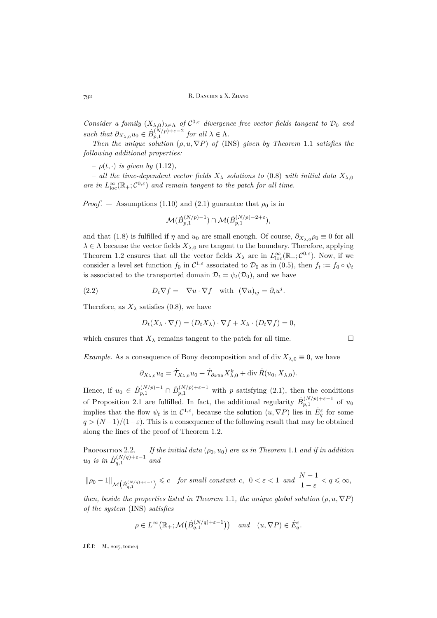*Consider a family*  $(X_{\lambda,0})_{\lambda \in \Lambda}$  *of*  $C^{0,\varepsilon}$  *divergence free vector fields tangent to*  $\mathcal{D}_0$  *and* such that  $\partial_{X_{\lambda,0}} u_0 \in \dot{B}_{p,1}^{(N/p)+\varepsilon-2}$  for all  $\lambda \in \Lambda$ .

*Then the unique solution*  $(\rho, u, \nabla P)$  *of* [\(INS\)](#page-2-1) *given by Theorem* [1.1](#page-6-1) *satisfies the following additional properties:*

 $\rho(t, \cdot)$  *is given by* [\(1.12\)](#page-9-1),

– *all the time-dependent vector fields*  $X_{\lambda}$  *solutions to* [\(0.8\)](#page-4-0) *with initial data*  $X_{\lambda,0}$ *are in*  $L^{\infty}_{loc}(\mathbb{R}_+;\mathcal{C}^{0,\varepsilon})$  *and remain tangent to the patch for all time.* 

*Proof.* – Assumptions [\(1.10\)](#page-8-1) and [\(2.1\)](#page-11-3) guarantee that  $\rho_0$  is in

$$
\mathcal{M}(\dot{B}_{p,1}^{(N/p)-1}) \cap \mathcal{M}(\dot{B}_{p,1}^{(N/p)-2+\varepsilon}),
$$

and that [\(1.8\)](#page-7-1) is fulfilled if  $\eta$  and  $u_0$  are small enough. Of course,  $\partial_{X_{\lambda,0}}\rho_0 \equiv 0$  for all  $\lambda \in \Lambda$  because the vector fields  $X_{\lambda,0}$  are tangent to the boundary. Therefore, applying Theorem [1.2](#page-7-0) ensures that all the vector fields  $X_{\lambda}$  are in  $L^{\infty}_{loc}(\mathbb{R}_{+};\mathcal{C}^{0,\varepsilon})$ . Now, if we consider a level set function  $f_0$  in  $C^{1,\varepsilon}$  associated to  $\mathcal{D}_0$  as in  $(0.5)$ , then  $f_t := f_0 \circ \psi_t$ is associated to the transported domain  $\mathcal{D}_t = \psi_t(\mathcal{D}_0)$ , and we have

(2.2) 
$$
D_t \nabla f = -\nabla u \cdot \nabla f \quad \text{with} \quad (\nabla u)_{ij} = \partial_i u^j.
$$

Therefore, as  $X_{\lambda}$  satisfies [\(0.8\)](#page-4-0), we have

<span id="page-12-1"></span>
$$
D_t(X_\lambda \cdot \nabla f) = (D_t X_\lambda) \cdot \nabla f + X_\lambda \cdot (D_t \nabla f) = 0,
$$

which ensures that  $X_{\lambda}$  remains tangent to the patch for all time.

*Example.* As a consequence of Bony decomposition and of div  $X_{\lambda,0} \equiv 0$ , we have

$$
\partial_{X_{\lambda,0}} u_0 = \dot{T}_{X_{\lambda,0}} u_0 + \dot{T}_{\partial_k u_0} X_{\lambda,0}^k + \text{div } \dot{R}(u_0, X_{\lambda,0}).
$$

Hence, if  $u_0 \in \dot{B}_{p,1}^{(N/p)-1} \cap \dot{B}_{p,1}^{(N/p)+\varepsilon-1}$  with p satisfying [\(2.1\)](#page-11-3), then the conditions of Proposition [2.1](#page-11-4) are fulfilled. In fact, the additional regularity  $\dot{B}_{p,1}^{(N/p)+\varepsilon-1}$  of  $u_0$ implies that the flow  $\psi_t$  is in  $\mathcal{C}^{1,\varepsilon}$ , because the solution  $(u, \nabla P)$  lies in  $\dot{E}^{\varepsilon}_{q}$  for some  $q > (N-1)/(1-\varepsilon)$ . This is a consequence of the following result that may be obtained along the lines of the proof of Theorem [1.2.](#page-7-0)

<span id="page-12-0"></span>PROPOSITION 2.2.  $-$  *If the initial data*  $(\rho_0, u_0)$  *are as in Theorem* [1.1](#page-6-1) *and if in addition*  $u_0$  *is in*  $\dot{B}^{(N/q)+\varepsilon-1}_{q,1}$  and

 $\|\rho_0-1\|_{\mathcal{M}\left(\dot{B}^{\left(N/q\right)+\varepsilon-1}_{q,1}\right)} \leqslant c \quad \textit{for small constant} \; c, \; 0 < \varepsilon < 1 \; \; \textit{and} \; \; \frac{N-1}{1-\varepsilon} < q \leqslant \infty,$ 

*then, beside the properties listed in Theorem [1.1](#page-6-1), the unique global solution*  $(\rho, u, \nabla P)$ *of the system* [\(INS\)](#page-2-1) *satisfies*

$$
\rho \in L^{\infty}\big(\mathbb{R}_+; \mathcal{M}\big(\dot{B}_{q,1}^{(N/q)+\varepsilon-1}\big)\big) \quad \text{and} \quad (u, \nabla P) \in \dot{E}_q^{\varepsilon}.
$$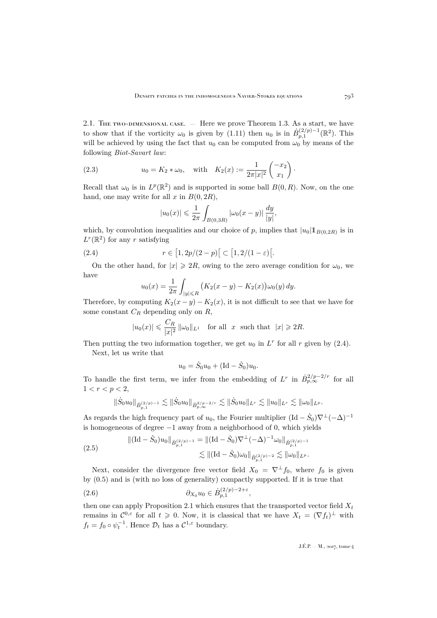2.1. The two-dimensional case. — Here we prove Theorem [1.3.](#page-8-0) As a start, we have to show that if the vorticity  $\omega_0$  is given by [\(1.11\)](#page-8-2) then  $u_0$  is in  $\dot{B}_{p,1}^{(2/p)-1}(\mathbb{R}^2)$ . This will be achieved by using the fact that  $u_0$  can be computed from  $\omega_0$  by means of the following *Biot-Savart law*:

(2.3) 
$$
u_0 = K_2 * \omega_0
$$
, with  $K_2(x) := \frac{1}{2\pi |x|^2} \begin{pmatrix} -x_2 \\ x_1 \end{pmatrix}$ .

Recall that  $\omega_0$  is in  $L^p(\mathbb{R}^2)$  and is supported in some ball  $B(0,R)$ . Now, on the one hand, one may write for all x in  $B(0, 2R)$ ,

<span id="page-13-2"></span>
$$
|u_0(x)| \le \frac{1}{2\pi} \int_{B(0,3R)} |\omega_0(x-y)| \frac{dy}{|y|},
$$

which, by convolution inequalities and our choice of p, implies that  $|u_0| \mathbb{1}_{B(0,2R)}$  is in  $L^r(\mathbb{R}^2)$  for any r satisfying

(2.4) 
$$
r \in [1, 2p/(2-p)] \subset [1, 2/(1-\varepsilon)].
$$

On the other hand, for  $|x| \ge 2R$ , owing to the zero average condition for  $\omega_0$ , we have

<span id="page-13-0"></span>
$$
u_0(x) = \frac{1}{2\pi} \int_{|y| \le R} \left( K_2(x - y) - K_2(x) \right) \omega_0(y) \, dy.
$$

Therefore, by computing  $K_2(x-y) - K_2(x)$ , it is not difficult to see that we have for some constant  $C_R$  depending only on  $R$ ,

$$
|u_0(x)| \leqslant \frac{C_R}{|x|^2} \|\omega_0\|_{L^1} \quad \text{for all} \ \ x \ \text{ such that} \ \ |x| \geqslant 2R.
$$

Then putting the two information together, we get  $u_0$  in  $L^r$  for all r given by [\(2.4\)](#page-13-0). Next, let us write that

$$
u_0 = \dot{S}_0 u_0 + (\text{Id} - \dot{S}_0) u_0.
$$

To handle the first term, we infer from the embedding of  $L^r$  in  $\dot{B}^{2/p-2/r}_{p,\infty}$  for all  $1 < r < p < 2$ ,

$$
\|\dot{S}_0 u_0\|_{\dot{B}^{(2/p)-1}_{p,1}} \lesssim \|\dot{S}_0 u_0\|_{\dot{B}^{2/p-2/r}_{p,\infty}} \lesssim \|\dot{S}_0 u_0\|_{L^r} \lesssim \|u_0\|_{L^r} \lesssim \|\omega_0\|_{L^p}.
$$

As regards the high frequency part of  $u_0$ , the Fourier multiplier  $(\text{Id} - \dot{S}_0) \nabla^{\perp} (-\Delta)^{-1}$ is homogeneous of degree −1 away from a neighborhood of 0, which yields

<span id="page-13-3"></span>
$$
\begin{aligned} \|(\mathrm{Id}-\dot{S}_0)u_0\|_{\dot{B}_{p,1}^{(2/p)-1}} &= \|( \mathrm{Id}-\dot{S}_0)\nabla^\perp(-\Delta)^{-1}\omega_0\|_{\dot{B}_{p,1}^{(2/p)-1}}\\ &\lesssim \|( \mathrm{Id}-\dot{S}_0)\omega_0\|_{\dot{B}_{p,1}^{(2/p)-2}} \lesssim \|\omega_0\|_{L^p}.\end{aligned}
$$

Next, consider the divergence free vector field  $X_0 = \nabla^{\perp} f_0$ , where  $f_0$  is given by [\(0.5\)](#page-3-1) and is (with no loss of generality) compactly supported. If it is true that

<span id="page-13-1"></span>
$$
(2.6) \t\t \t\t \partial_{X_0} u_0 \in \dot{B}_{p,1}^{(2/p)-2+\varepsilon},
$$

then one can apply Proposition [2.1](#page-11-4) which ensures that the transported vector field  $X_t$ remains in  $\mathcal{C}^{0,\varepsilon}$  for all  $t \geq 0$ . Now, it is classical that we have  $X_t = (\nabla f_t)^{\perp}$  with  $f_t = f_0 \circ \psi_t^{-1}$ . Hence  $\mathcal{D}_t$  has a  $\mathcal{C}^{1,\varepsilon}$  boundary.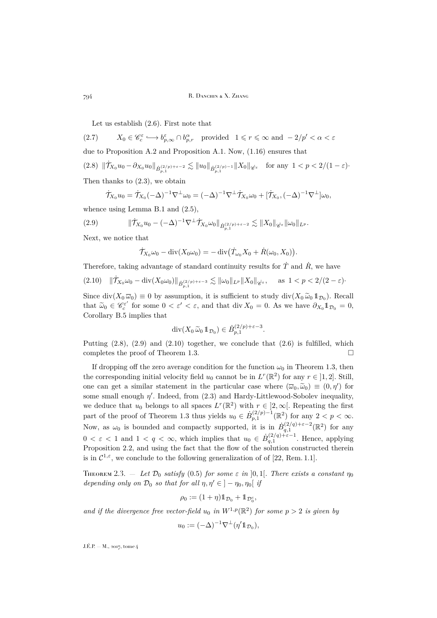Let us establish [\(2.6\)](#page-13-1). First note that

(2.7)  $X_0 \in \mathscr{C}_c^{\varepsilon} \longrightarrow b_{p,\infty}^{\varepsilon} \cap b_{p,r}^{\alpha}$  provided  $1 \leqslant r \leqslant \infty$  and  $-2/p' < \alpha < \varepsilon$ due to Proposition [A.2](#page-24-1) and Proposition [A.1.](#page-23-1) Now, [\(1.16\)](#page-10-1) ensures that  $(2.8)$   $\|\dot{\mathcal{T}}_{X_0} u_0 - \partial_{X_0} u_0\|_{\dot{B}_{p,1}^{(2/p)+\varepsilon-2}} \lesssim \|u_0\|_{\dot{B}_{p,1}^{(2/p)-1}} \|X_0\|_{\dot{\mathscr{C}}^{\varepsilon}} \quad \text{for any } 1 < p < 2/(1-\varepsilon)$ Then thanks to [\(2.3\)](#page-13-2), we obtain

<span id="page-14-1"></span>
$$
\dot{\mathcal{T}}_{X_0}u_0=\dot{\mathcal{T}}_{X_0}(-\Delta)^{-1}\nabla^{\perp}\omega_0=(-\Delta)^{-1}\nabla^{\perp}\dot{\mathcal{T}}_{X_0}\omega_0+[\dot{\mathcal{T}}_{X_0},(-\Delta)^{-1}\nabla^{\perp}]\omega_0,
$$

whence using Lemma [B.1](#page-25-1) and [\(2.5\)](#page-13-3),

$$
(2.9) \t\t ||\dot{\mathcal{T}}_{X_0} u_0 - (-\Delta)^{-1} \nabla^{\perp} \dot{\mathcal{T}}_{X_0} \omega_0 ||_{\dot{B}_{p,1}^{(2/p)+\varepsilon-2}} \lesssim ||X_0||_{\dot{\mathscr{C}}^{\varepsilon}} ||\omega_0||_{L^p}.
$$

Next, we notice that

<span id="page-14-2"></span>
$$
\dot{\mathcal{T}}_{X_0}\omega_0 - \mathrm{div}(X_0\omega_0) = -\,\mathrm{div}\big(\dot{T}_{\omega_0}X_0 + \dot{R}(\omega_0,X_0)\big).
$$

Therefore, taking advantage of standard continuity results for  $\dot{T}$  and  $\dot{R}$ , we have

<span id="page-14-3"></span> $(2.10)$   $\|\dot{\mathcal{T}}_{X_0}\omega_0 - \text{div}(X_0\omega_0)\|_{\dot{B}_{p,1}^{(2/p)+\varepsilon-3}} \lesssim \|\omega_0\|_{L^p} \|X_0\|_{\dot{\mathscr{C}}^{\varepsilon}}, \quad \text{as } 1 < p < 2/(2-\varepsilon)$ 

Since  $\text{div}(X_0 \overline{\omega}_0) \equiv 0$  by assumption, it is sufficient to study  $\text{div}(X_0 \widetilde{\omega}_0 \mathbb{1}_{\mathcal{D}_0})$ . Recall that  $\widetilde{\omega}_0 \in \mathscr{C}^{\varepsilon'}_c$  for some  $0 < \varepsilon' < \varepsilon$ , and that div  $X_0 = 0$ . As we have  $\partial_{X_0} 1_{\mathcal{D}_0} = 0$ , Consilient  $\mathbb{R}^n$  implies that Corollary [B.5](#page-30-8) implies that

$$
\operatorname{div}(X_0 \widetilde{\omega}_0 1\!\!1_{\mathcal{D}_0}) \in \dot{B}_{p,1}^{(2/p)+\varepsilon-3}.
$$

Putting  $(2.8)$ ,  $(2.9)$  and  $(2.10)$  together, we conclude that  $(2.6)$  is fulfilled, which completes the proof of Theorem [1.3.](#page-8-0)

If dropping off the zero average condition for the function  $\omega_0$  in Theorem [1.3,](#page-8-0) then the corresponding initial velocity field  $u_0$  cannot be in  $L^r(\mathbb{R}^2)$  for any  $r \in ]1,2]$ . Still, one can get a similar statement in the particular case where  $(\overline{\omega}_0, \widetilde{\omega}_0) \equiv (0, \eta')$  for some small enough  $\eta'$ . Indeed, from  $(2.3)$  and Hardy-Littlewood-Sobolev inequality, we deduce that  $u_0$  belongs to all spaces  $L^r(\mathbb{R}^2)$  with  $r \in ]2,\infty[$ . Repeating the first part of the proof of Theorem [1.3](#page-8-0) thus yields  $u_0 \in \dot{B}_{p,1}^{(2/p)-1}(\mathbb{R}^2)$  for any  $2 < p < \infty$ . Now, as  $\omega_0$  is bounded and compactly supported, it is in  $\dot{B}_{q,1}^{(2/q)+\varepsilon-2}(\mathbb{R}^2)$  for any  $0 < \varepsilon < 1$  and  $1 < q < \infty$ , which implies that  $u_0 \in \dot{B}_{q,1}^{(2/q)+\varepsilon-1}$ . Hence, applying Proposition [2.2,](#page-12-0) and using the fact that the flow of the solution constructed therein is in  $\mathcal{C}^{1,\varepsilon}$ , we conclude to the following generalization of of [\[22,](#page-31-9) Rem. 1.1].

<span id="page-14-0"></span>THEOREM 2.3.  $-$  *Let*  $\mathcal{D}_0$  *satisfy* [\(0.5\)](#page-3-1) *for some*  $\varepsilon$  *in* [0,1]. *There exists a constant*  $\eta_0$ *depending only on*  $\mathcal{D}_0$  *so that for all*  $\eta, \eta' \in ]-\eta_0, \eta_0[$  *if* 

$$
\rho_0 := (1+\eta) \mathbb{1}_{\mathcal{D}_0} + \mathbb{1}_{\mathcal{D}_0^c},
$$

and if the divergence free vector-field  $u_0$  in  $W^{1,p}(\mathbb{R}^2)$  for some  $p > 2$  is given by

$$
u_0 := (-\Delta)^{-1} \nabla^{\perp} (\eta' \mathbb{1}_{\mathcal{D}_0}),
$$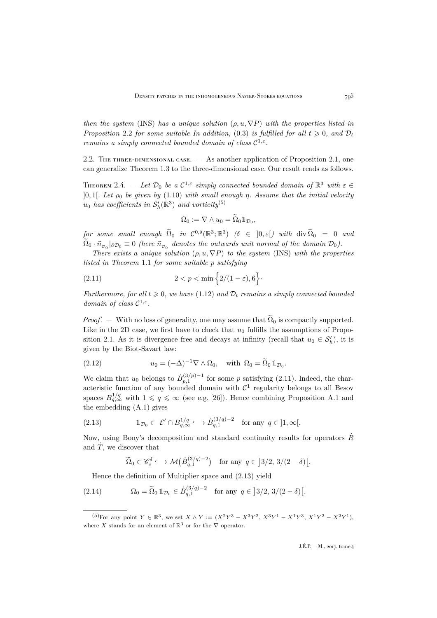*then the system* [\(INS\)](#page-2-1) *has a unique solution*  $(\rho, u, \nabla P)$  *with the properties listed in Proposition* [2.2](#page-12-0) *for some suitable In addition,* [\(0.3\)](#page-2-4) *is fulfilled for all*  $t \ge 0$ *, and*  $\mathcal{D}_t$ *remains a simply connected bounded domain of class*  $C^{1,\epsilon}$ .

2.2. THE THREE-DIMENSIONAL CASE.  $-$  As another application of Proposition [2.1,](#page-11-4) one can generalize Theorem [1.3](#page-8-0) to the three-dimensional case. Our result reads as follows.

<span id="page-15-0"></span>THEOREM 2.4.  $-$  Let  $\mathcal{D}_0$  be a  $\mathcal{C}^{1,\varepsilon}$  simply connected bounded domain of  $\mathbb{R}^3$  with  $\varepsilon \in$  $]0, 1[$ *. Let*  $\rho_0$  *be given by* [\(1.10\)](#page-8-1) *with small enough*  $\eta$ *. Assume that the initial velocity*  $u_0$  has coefficients in  $\mathcal{S}'_h(\mathbb{R}^3)$  and vorticity<sup>(5)</sup>

<span id="page-15-1"></span>
$$
\Omega_0 := \nabla \wedge u_0 = \widetilde{\Omega}_0 1\!\!1_{\mathcal{D}_0},
$$

 $\widetilde{p}$  *for some small enough*  $\widetilde{\Omega}_0$  *in*  $C^{0,\delta}(\mathbb{R}^3;\mathbb{R}^3)$   $(\delta \in ]0,\varepsilon[)$  with div  $\widetilde{\Omega}_0 = 0$  and  $\Omega_0 \cdot \vec{n}_{\nu_0} |_{\partial \mathcal{D}_0} \equiv 0$  (here  $\vec{n}_{\nu_0}$  denotes the outwards unit normal of the domain  $\mathcal{D}_0$ ).

*There exists a unique solution*  $(\rho, u, \nabla P)$  *to the system* [\(INS\)](#page-2-1) *with the properties listed in Theorem* [1.1](#page-6-1) *for some suitable* p *satisfying*

$$
(2.11) \t\t 2 < p < \min\left\{2/(1-\varepsilon), 6\right\}.
$$

*Furthermore, for all*  $t \ge 0$ *, we have* [\(1.12\)](#page-9-1) *and*  $\mathcal{D}_t$  *remains a simply connected bounded domain of class*  $C^{1,\varepsilon}$ *.* 

*Proof.* — With no loss of generality, one may assume that  $\tilde{\Omega}_0$  is compactly supported. Like in the 2D case, we first have to check that  $u_0$  fulfills the assumptions of Propo-sition [2.1.](#page-11-4) As it is divergence free and decays at infinity (recall that  $u_0 \in \mathcal{S}'_h$ ), it is given by the Biot-Savart law:

<span id="page-15-3"></span>(2.12) 
$$
u_0 = (-\Delta)^{-1} \nabla \wedge \Omega_0, \text{ with } \Omega_0 = \tilde{\Omega}_0 1_{\mathcal{D}_0}.
$$

We claim that  $u_0$  belongs to  $\dot{B}_{p,1}^{(3/p)-1}$  for some p satisfying [\(2.11\)](#page-15-1). Indeed, the characteristic function of any bounded domain with  $\mathcal{C}^1$  regularity belongs to all Besov spaces  $B_{q,\infty}^{1/q}$  with  $1 \leqslant q \leqslant \infty$  (see e.g. [\[26\]](#page-31-15)). Hence combining Proposition [A.1](#page-23-1) and the embedding [\(A.1\)](#page-24-2) gives

(2.13) 
$$
\mathbb{1}_{\mathcal{D}_0} \in \mathcal{E}' \cap B_{q,\infty}^{1/q} \hookrightarrow \dot{B}_{q,1}^{(3/q)-2} \text{ for any } q \in ]1,\infty[.
$$

Now, using Bony's decomposition and standard continuity results for operators  $\dot{R}$ and  $\dot{T}$ , we discover that

<span id="page-15-4"></span><span id="page-15-2"></span>
$$
\widetilde{\Omega}_0 \in \mathscr{C}_c^{\delta} \longrightarrow \mathcal{M}\big(\dot{B}_{q,1}^{(3/q)-2}\big) \quad \text{for any } q \in ]3/2, 3/(2-\delta)[.
$$

Hence the definition of Multiplier space and [\(2.13\)](#page-15-2) yield

(2.14)  $\Omega_0 = \tilde{\Omega}_0 \mathbb{1}_{\mathcal{D}_0} \in \dot{B}_{q,1}^{(3/q)-2} \text{ for any } q \in ]3/2, 3/(2-\delta)[.$ 

<sup>&</sup>lt;sup>(5)</sup>For any point  $Y \in \mathbb{R}^3$ , we set  $X \wedge Y := (X^2Y^3 - X^3Y^2, X^3Y^1 - X^1Y^3, X^1Y^2 - X^2Y^1)$ , where X stands for an element of  $\mathbb{R}^3$  or for the  $\nabla$  operator.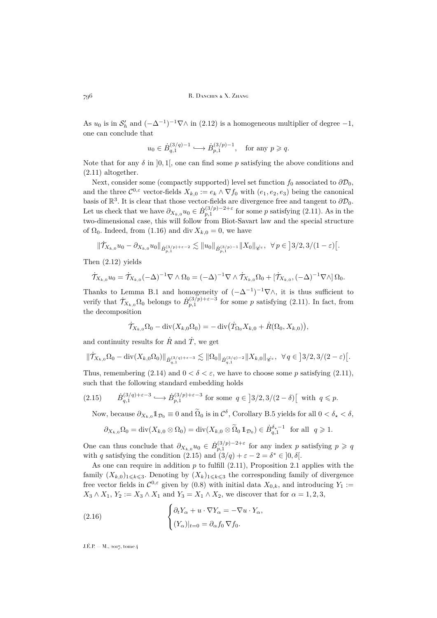As  $u_0$  is in  $S'_h$  and  $(-\Delta^{-1})^{-1}\nabla\wedge$  in  $(2.12)$  is a homogeneous multiplier of degree  $-1$ , one can conclude that

$$
u_0 \in \dot{B}_{q,1}^{(3/q)-1} \hookrightarrow \dot{B}_{p,1}^{(3/p)-1}, \quad \text{for any } p \geqslant q.
$$

Note that for any  $\delta$  in  $[0, 1]$ , one can find some p satisfying the above conditions and [\(2.11\)](#page-15-1) altogether.

Next, consider some (compactly supported) level set function  $f_0$  associated to  $\partial \mathcal{D}_0$ , and the three  $\mathcal{C}^{0,\varepsilon}$  vector-fields  $X_{k,0} := e_k \wedge \nabla f_0$  with  $(e_1, e_2, e_3)$  being the canonical basis of  $\mathbb{R}^3$ . It is clear that those vector-fields are divergence free and tangent to  $\partial \mathcal{D}_0$ . Let us check that we have  $\partial_{X_{k,0}} u_0 \in \dot{B}_{p,1}^{(3/p)-2+\varepsilon}$  for some p satisfying [\(2.11\)](#page-15-1). As in the two-dimensional case, this will follow from Biot-Savart law and the special structure of  $\Omega_0$ . Indeed, from [\(1.16\)](#page-10-1) and div  $X_{k,0} = 0$ , we have

$$
\|\dot{\mathcal{T}}_{X_{k,0}}u_0 - \partial_{X_{k,0}}u_0\|_{\dot{B}_{p,1}^{(3/p)+\varepsilon-2}} \lesssim \|u_0\|_{\dot{B}_{p,1}^{(3/p)-1}} \|X_0\|_{\dot{\mathscr{C}}^{\varepsilon}}, \ \ \forall \ p \in \left]3/2,3/(1-\varepsilon)\right[.
$$

Then [\(2.12\)](#page-15-3) yields

$$
\dot{\mathcal{T}}_{X_{k,0}}u_0=\dot{\mathcal{T}}_{X_{k,0}}(-\Delta)^{-1}\nabla\wedge\Omega_0=(-\Delta)^{-1}\nabla\wedge\dot{\mathcal{T}}_{X_{k,0}}\Omega_0+[\dot{\mathcal{T}}_{X_{k,0}},(-\Delta)^{-1}\nabla\wedge]\Omega_0.
$$

Thanks to Lemma [B.1](#page-25-1) and homogeneity of  $(-\Delta^{-1})^{-1}\nabla\wedge$ , it is thus sufficient to verify that  $\dot{\mathcal{T}}_{X_{k,0}}\Omega_0$  belongs to  $\dot{B}_{p,1}^{(3/p)+\varepsilon-3}$  for some p satisfying [\(2.11\)](#page-15-1). In fact, from the decomposition

$$
\dot{\mathcal{T}}_{X_{k,0}}\Omega_0 - \mathrm{div}(X_{k,0}\Omega_0) = -\,\mathrm{div}(\dot{T}_{\Omega_0}X_{k,0} + \dot{R}(\Omega_0,X_{k,0}))
$$

and continuity results for  $\dot{R}$  and  $\dot{T}$ , we get

$$
\|\dot{\mathcal{T}}_{X_{k,0}}\Omega_0-\text{div}(X_{k,0}\Omega_0)\|_{\dot{B}^{(3/q)+\varepsilon-3}_{q,1}}\lesssim \|\Omega_0\|_{\dot{B}^{(3/q)-2}_{q,1}}\|X_{k,0}\|_{\dot{\mathscr{C}}^{\varepsilon}},\ \ \forall\,q\in\big]3/2,3/(2-\varepsilon)\big[.
$$

Thus, remembering [\(2.14\)](#page-15-4) and  $0 < \delta < \varepsilon$ , we have to choose some p satisfying [\(2.11\)](#page-15-1), such that the following standard embedding holds

(2.15) 
$$
\dot{B}_{q,1}^{(3/q)+\varepsilon-3} \hookrightarrow \dot{B}_{p,1}^{(3/p)+\varepsilon-3} \text{ for some } q \in ]3/2,3/(2-\delta)[ \text{ with } q \leq p.
$$

<span id="page-16-0"></span>Now, because  $\partial_{X_{k,0}} 1\!\!1_{\mathcal{D}_0} \equiv 0$  and  $\tilde{\Omega}_0$  is in  $\mathcal{C}^\delta$ , Corollary [B.5](#page-30-8) yields for all  $0 < \delta_\star < \delta$ ,

$$
\partial_{X_{k,0}}\Omega_0 = \text{div}(X_{k,0}\otimes \Omega_0) = \text{div}(X_{k,0}\otimes \widetilde{\Omega}_0 1\!\!1_{\mathcal{D}_0}) \in \dot{B}^{\delta_*-1}_{q,1} \text{ for all } q \geq 1.
$$

One can thus conclude that  $\partial_{X_{k,0}} u_0 \in \dot{B}_{p,1}^{(3/p)-2+\varepsilon}$  for any index p satisfying  $p \geqslant q$ with q satisfying the condition [\(2.15\)](#page-16-0) and  $(3/q) + \varepsilon - 2 = \delta^* \in ]0, \delta[$ .

As one can require in addition  $p$  to fulfill  $(2.11)$ , Proposition [2.1](#page-11-4) applies with the family  $(X_{k,0})_{1\leq k\leq 3}$ . Denoting by  $(X_k)_{1\leq k\leq 3}$  the corresponding family of divergence free vector fields in  $\mathcal{C}^{0,\varepsilon}$  given by [\(0.8\)](#page-4-0) with initial data  $X_{0,k}$ , and introducing  $Y_1 :=$  $X_3 \wedge X_1, Y_2 := X_3 \wedge X_1$  and  $Y_3 = X_1 \wedge X_2$ , we discover that for  $\alpha = 1, 2, 3$ ,

<span id="page-16-1"></span>(2.16) 
$$
\begin{cases} \partial_t Y_\alpha + u \cdot \nabla Y_\alpha = -\nabla u \cdot Y_\alpha, \\ (Y_\alpha)|_{t=0} = \partial_\alpha f_0 \, \nabla f_0. \end{cases}
$$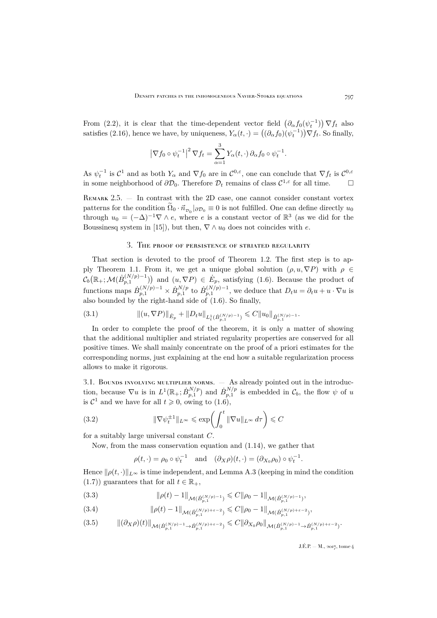From [\(2.2\)](#page-12-1), it is clear that the time-dependent vector field  $(\partial_{\alpha} f_0(\psi_t^{-1})) \nabla f_t$  also satisfies [\(2.16\)](#page-16-1), hence we have, by uniqueness,  $Y_{\alpha}(t, \cdot) = ((\partial_{\alpha} f_0)(\psi_t^{-1})) \nabla f_t$ . So finally,

$$
\left|\nabla f_0\circ\psi_t^{-1}\right|^2 \nabla f_t = \sum_{\alpha=1}^3 Y_\alpha(t,\cdot)\,\partial_\alpha f_0\circ\psi_t^{-1}.
$$

As  $\psi_t^{-1}$  is  $C^1$  and as both  $Y_\alpha$  and  $\nabla f_0$  are in  $C^{0,\varepsilon}$ , one can conclude that  $\nabla f_t$  is  $C^{0,\varepsilon}$ in some neighborhood of  $\partial \mathcal{D}_0$ . Therefore  $\mathcal{D}_t$  remains of class  $\mathcal{C}^{1,\varepsilon}$  for all time.  $\Box$ 

REMARK  $2.5.$  — In contrast with the 2D case, one cannot consider constant vortex patterns for the condition  $\Omega_0 \cdot \vec{n}_{\mathcal{D}_0} |_{\partial \mathcal{D}_0} \equiv 0$  is not fulfilled. One can define directly  $u_0$ through  $u_0 = (-\Delta)^{-1} \nabla \wedge e$ , where e is a constant vector of  $\mathbb{R}^3$  (as we did for the Boussinesq system in [\[15\]](#page-31-0)), but then,  $\nabla \wedge u_0$  does not coincides with e.

# 3. The proof of persistence of striated regularity

<span id="page-17-0"></span>That section is devoted to the proof of Theorem [1.2.](#page-7-0) The first step is to ap-ply Theorem [1.1.](#page-6-1) From it, we get a unique global solution  $(\rho, u, \nabla P)$  with  $\rho \in$  $\mathcal{C}_b(\mathbb{R}_+;\mathcal{M}(\dot{B}_{p,1}^{(N/p)-1}))$  and  $(u,\nabla P)\in \dot{E}_p$ , satisfying [\(1.6\)](#page-6-2). Because the product of functions maps  $\dot{B}_{p,1}^{(N/p)-1} \times \dot{B}_{p,1}^{N/p}$  to  $\dot{B}_{p,1}^{(N/p)-1}$ , we deduce that  $D_t u = \partial_t u + u \cdot \nabla u$  is also bounded by the right-hand side of [\(1.6\)](#page-6-2). So finally,

<span id="page-17-2"></span>
$$
(3.1) \t\t\t\t\t\|\left(u,\nabla P\right)\|_{\dot{E}_p} + \|D_t u\|_{L^1_t(\dot{B}_{p,1}^{(N/p)-1})} \leqslant C \|u_0\|_{\dot{B}_{p,1}^{(N/p)-1}}.
$$

In order to complete the proof of the theorem, it is only a matter of showing that the additional multiplier and striated regularity properties are conserved for all positive times. We shall mainly concentrate on the proof of a priori estimates for the corresponding norms, just explaining at the end how a suitable regularization process allows to make it rigorous.

3.1. BOUNDS INVOLVING MULTIPLIER NORMS.  $-$  As already pointed out in the introduction, because  $\nabla u$  is in  $L^1(\mathbb{R}_+;\dot{B}_{p,1}^{N/p})$  and  $\dot{B}_{p,1}^{N/p}$  is embedded in  $\mathcal{C}_b$ , the flow  $\psi$  of u is  $\mathcal{C}^1$  and we have for all  $t \geq 0$ , owing to  $(1.6)$ ,

(3.2) 
$$
\|\nabla \psi_t^{\pm 1}\|_{L^\infty} \leq \exp\left(\int_0^t \|\nabla u\|_{L^\infty} d\tau\right) \leq C
$$

for a suitably large universal constant C.

Now, from the mass conservation equation and [\(1.14\)](#page-10-2), we gather that

<span id="page-17-4"></span>
$$
\rho(t, \cdot) = \rho_0 \circ \psi_t^{-1}
$$
 and  $(\partial_X \rho)(t, \cdot) = (\partial_{X_0} \rho_0) \circ \psi_t^{-1}$ .

Hence  $\|\rho(t, \cdot)\|_{L^\infty}$  is time independent, and Lemma [A.3](#page-24-0) (keeping in mind the condition [\(1.7\)](#page-7-2)) guarantees that for all  $t \in \mathbb{R}_+$ ,

$$
(3.3) \t\t\t ||\rho(t) - 1||_{\mathcal{M}(\dot{B}_{p,1}^{(N/p)-1})} \leq C||\rho_0 - 1||_{\mathcal{M}(\dot{B}_{p,1}^{(N/p)-1})},
$$

<span id="page-17-1"></span>(3.4) 
$$
\|\rho(t)-1\|_{\mathcal{M}(\dot{B}_{p,1}^{(N/p)+\varepsilon-2})} \leq C \|\rho_0-1\|_{\mathcal{M}(\dot{B}_{p,1}^{(N/p)+\varepsilon-2})},
$$

<span id="page-17-3"></span> $k(3.5)$   $\|(\partial_X \rho)(t)\|_{\mathcal{M}(\dot{B}_{p,1}^{(N/p)-1}\to\dot{B}_{p,1}^{(N/p)+\varepsilon-2})}\leq C\|\partial_{X_0}\rho_0\|_{\mathcal{M}(\dot{B}_{p,1}^{(N/p)-1}\to\dot{B}_{p,1}^{(N/p)+\varepsilon-2})}.$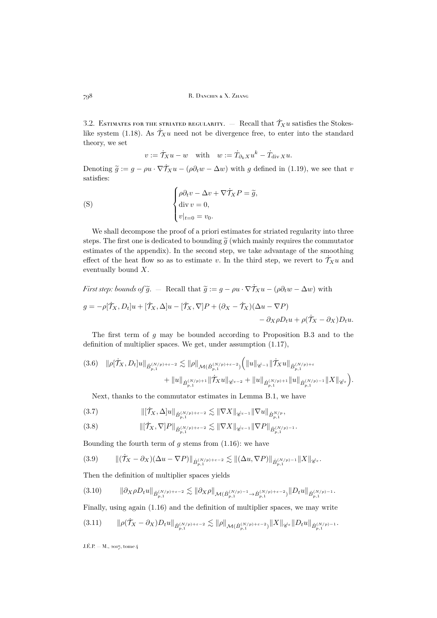3.2. ESTIMATES FOR THE STRIATED REGULARITY.  $-$  Recall that  $\dot{\mathcal{T}}_X u$  satisfies the Stokes-like system [\(1.18\)](#page-11-1). As  $\dot{\mathcal{T}}_X u$  need not be divergence free, to enter into the standard theory, we set

$$
v := \dot{\mathcal{T}}_X u - w
$$
 with  $w := \dot{T}_{\partial_k X} u^k - \dot{T}_{\text{div }X} u$ .

Denoting  $\tilde{g} := g - \rho u \cdot \nabla \dot{\mathcal{T}}_X u - (\rho \partial_t w - \Delta w)$  with g defined in [\(1.19\)](#page-11-2), we see that v satisfies:

<span id="page-18-2"></span>(S) 
$$
\begin{cases} \rho \partial_t v - \Delta v + \nabla \dot{\mathcal{T}}_X P = \tilde{g}, \\ \text{div } v = 0, \\ v|_{t=0} = v_0. \end{cases}
$$

We shall decompose the proof of a priori estimates for striated regularity into three steps. The first one is dedicated to bounding  $\tilde{g}$  (which mainly requires the commutator estimates of the appendix). In the second step, we take advantage of the smoothing effect of the heat flow so as to estimate v. In the third step, we revert to  $\dot{\mathcal{T}}_X u$  and eventually bound X.

First step: bounds of 
$$
\tilde{g}
$$
. – Recall that  $\tilde{g} := g - \rho u \cdot \nabla \dot{\mathcal{T}}_X u - (\rho \partial_t w - \Delta w)$  with  
\n
$$
g = -\rho[\dot{\mathcal{T}}_X, D_t]u + [\dot{\mathcal{T}}_X, \Delta]u - [\dot{\mathcal{T}}_X, \nabla]P + (\partial_X - \dot{\mathcal{T}}_X)(\Delta u - \nabla P) - \partial_X \rho D_t u + \rho(\dot{\mathcal{T}}_X - \partial_X)D_t u.
$$

The first term of g may be bounded according to Proposition [B.3](#page-27-0) and to the definition of multiplier spaces. We get, under assumption [\(1.17\)](#page-10-3),

<span id="page-18-0"></span>
$$
(3.6) \quad \|\rho[\dot{\mathcal{T}}_X, D_t]u\|_{\dot{B}_{p,1}^{(N/p)+\varepsilon-2}} \lesssim \|\rho\|_{\mathcal{M}(\dot{B}_{p,1}^{(N/p)+\varepsilon-2})} \Big( \|u\|_{\dot{\mathscr{C}}^{-1}} \|\dot{\mathcal{T}}_X u\|_{\dot{B}_{p,1}^{(N/p)+\varepsilon}} + \|u\|_{\dot{B}_{p,1}^{(N/p)+1}} \|\dot{\mathcal{T}}_X u\|_{\dot{\mathscr{C}}^{-2}} + \|u\|_{\dot{B}_{p,1}^{(N/p)+1}} \|u\|_{\dot{B}_{p,1}^{(N/p)-1}} \|X\|_{\dot{\mathscr{C}}^{\varepsilon}} \Big).
$$

Next, thanks to the commutator estimates in Lemma [B.1,](#page-25-1) we have

$$
(3.7) \t\t\t\t||[\mathcal{T}_X, \Delta]u||_{\dot{B}_{p,1}^{(N/p)+\varepsilon-2}} \lesssim \|\nabla X\|_{\dot{\mathscr{C}}^{\varepsilon-1}} \|\nabla u\|_{\dot{B}_{p,1}^{N/p}},
$$

$$
(3.8) \t\t ||[ $\dot{T}_X, \nabla$ ]P|| <sub>$\dot{B}_{p,1}^{(N/p)+\varepsilon-2}$</sub>   $\lesssim$   $\|\nabla X\|_{\dot{\mathscr{C}}^{\varepsilon-1}} \|\nabla P\|_{\dot{B}_{p,1}^{(N/p)-1}}.$
$$

Bounding the fourth term of  $g$  stems from  $(1.16)$ : we have

$$
(3.9) \qquad \| (T_X - \partial_X)(\Delta u - \nabla P) \|_{\dot{B}_{p,1}^{(N/p)+\varepsilon-2}} \lesssim \| (\Delta u, \nabla P) \|_{\dot{B}_{p,1}^{(N/p)-1}} \| X \|_{\dot{\mathscr{C}}^{\varepsilon}}.
$$

Then the definition of multiplier spaces yields

$$
(3.10) \qquad \|\partial_{X}\rho D_{t}u\|_{\dot{B}_{p,1}^{(N/p)+\varepsilon-2}} \lesssim \|\partial_{X}\rho\|_{\mathcal{M}(\dot{B}_{p,1}^{(N/p)-1}\to\dot{B}_{p,1}^{(N/p)+\varepsilon-2})}\|D_{t}u\|_{\dot{B}_{p,1}^{(N/p)-1}}.
$$

Finally, using again [\(1.16\)](#page-10-1) and the definition of multiplier spaces, we may write

<span id="page-18-1"></span>
$$
(3.11) \qquad \|\rho(\dot{\mathcal{T}}_X - \partial_X)D_t u\|_{\dot{B}_{p,1}^{(N/p)+\varepsilon-2}} \lesssim \|\rho\|_{\mathcal{M}(\dot{B}_{p,1}^{(N/p)+\varepsilon-2})} \|X\|_{\dot{\mathcal{B}}^{\varepsilon}} \|D_t u\|_{\dot{B}_{p,1}^{(N/p)-1}}.
$$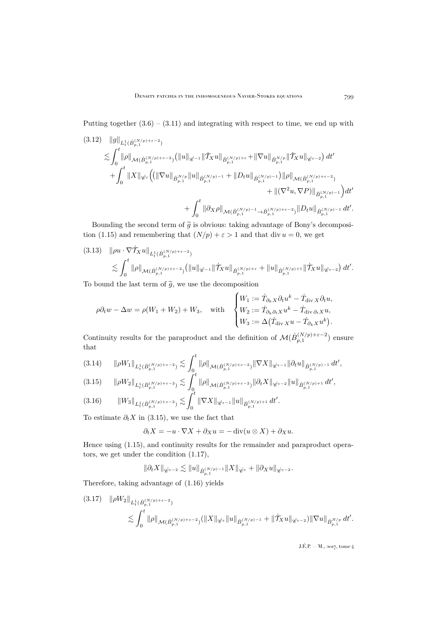Putting together  $(3.6) - (3.11)$  $(3.6) - (3.11)$  $(3.6) - (3.11)$  and integrating with respect to time, we end up with  $(9.19)$   $||$ <sub>a</sub>ll

<span id="page-19-3"></span>
$$
(3.12) \quad ||g||_{L^{1}_{t}(\dot{B}_{p,1}^{(N/p)+\varepsilon-2})} \n\lesssim \int_{0}^{t} ||\rho||_{\mathcal{M}(\dot{B}_{p,1}^{(N/p)+\varepsilon-2})} (||u||_{\dot{\mathscr{C}}^{-1}} ||\dot{\mathcal{T}}_{X}u||_{\dot{B}_{p,1}^{(N/p)+\varepsilon}} + ||\nabla u||_{\dot{B}_{p,1}^{N/p}} ||\dot{\mathcal{T}}_{X}u||_{\dot{\mathscr{C}}^{-2}}) dt' \n+ \int_{0}^{t} ||X||_{\dot{\mathscr{C}}^{\varepsilon}} \Big( (||\nabla u||_{\dot{B}_{p,1}^{N/p}} ||u||_{\dot{B}_{p,1}^{(N/p)-1}} + ||D_t u||_{\dot{B}_{p,1}^{(N/p)-1}}) ||\rho||_{\mathcal{M}(\dot{B}_{p,1}^{(N/p)+\varepsilon-2})} \n+ ||(\nabla^2 u, \nabla P)||_{\dot{B}_{p,1}^{(N/p)-1}} \Big) dt' \n+ \int_{0}^{t} ||\partial_{X}\rho||_{\mathcal{M}(\dot{B}_{p,1}^{(N/p)-1}\to \dot{B}_{p,1}^{(N/p)+\varepsilon-2})} ||D_t u||_{\dot{B}_{p,1}^{(N/p)-1}} dt'.
$$

Bounding the second term of  $\tilde{g}$  is obvious: taking advantage of Bony's decomposi-tion [\(1.15\)](#page-10-0) and remembering that  $(N/p) + \varepsilon > 1$  and that div  $u = 0$ , we get

<span id="page-19-4"></span>
$$
(3.13) \quad \|\rho u \cdot \nabla \dot{\mathcal{T}}_X u\|_{L^1_t(\dot{B}_{p,1}^{(N/p)+\varepsilon-2})} \leq \int_0^t \|\rho\|_{\mathcal{M}(\dot{B}_{p,1}^{(N/p)+\varepsilon-2})} (\|u\|_{\dot{\mathscr{C}}^{-1}} \|\dot{\mathcal{T}}_X u\|_{\dot{B}_{p,1}^{(N/p)+\varepsilon}} + \|u\|_{\dot{B}_{p,1}^{(N/p)+1}} \|\dot{\mathcal{T}}_X u\|_{\dot{\mathscr{C}}^{-2}}) dt'.
$$

To bound the last term of  $\tilde{g}$ , we use the decomposition

$$
\rho \partial_t w - \Delta w = \rho (W_1 + W_2) + W_3, \quad \text{with} \quad \begin{cases} W_1 := \dot{T}_{\partial_k X} \partial_t u^k - \dot{T}_{\text{div } X} \partial_t u, \\ W_2 := \dot{T}_{\partial_k \partial_t X} u^k - \dot{T}_{\text{div } \partial_t X} u, \\ W_3 := \Delta (\dot{T}_{\text{div } X} u - \dot{T}_{\partial_k X} u^k). \end{cases}
$$

Continuity results for the paraproduct and the definition of  $\mathcal{M}(\dot{B}_{p,1}^{(N/p)+\varepsilon-2})$  ensure that

<span id="page-19-1"></span>
$$
(3.14) \qquad \|\rho W_{1}\|_{L^{1}_{t}(\dot{B}_{p,1}^{(N/p)+\varepsilon-2})} \lesssim \int_{0}^{t} \|\rho\|_{\mathcal{M}(\dot{B}_{p,1}^{(N/p)+\varepsilon-2})} \|\nabla X\|_{\dot{\mathscr{C}}^{\varepsilon-1}} \|\partial_{t}u\|_{\dot{B}_{p,1}^{(N/p)-1}} dt',
$$
\n
$$
\leq \int_{0}^{t} \|\rho\|_{\mathcal{M}(\dot{B}_{p,1}^{(N/p)+\varepsilon-2})} \|\nabla X\|_{\dot{\mathscr{C}}^{\varepsilon-1}} \|\partial_{t}u\|_{\dot{B}_{p,1}^{(N/p)-1}} dt',
$$

<span id="page-19-0"></span>
$$
(3.15) \qquad \|\rho W_2\|_{L^1_t(\dot{B}_{p,1}^{(N/p)+\varepsilon-2})} \lesssim \int_0^t \|\rho\|_{\mathcal{M}(\dot{B}_{p,1}^{(N/p)+\varepsilon-2})} \|\partial_t X\|_{\dot{\mathscr{C}}^{\varepsilon-2}} \|u\|_{\dot{B}_{p,1}^{(N/p)+1}} dt',
$$
\n
$$
\leq \int_0^t \|\nabla \mathbf{V}\|_{\mathcal{M}(\mathcal{B}_{p,1}^{(N/p)+\varepsilon-2})} \leq \int_0^t \|\nabla \mathbf{V}\|_{\mathcal{M}(\mathcal{B}_{p,1}^{(N/p)+\varepsilon-2})} \|\partial_t X\|_{\dot{\mathscr{C}}^{\varepsilon-2}} \|u\|_{\dot{B}_{p,1}^{(N/p)+1}} dt',
$$

$$
(3.16) \t\t ||W_3||_{L^1_t(\dot{B}_{p,1}^{(N/p)+\varepsilon-2})} \lesssim \int_0^{\varepsilon} \|\nabla X\|_{\dot{\mathscr{C}}^{\varepsilon-1}} \|u\|_{\dot{B}_{p,1}^{(N/p)+1}} dt'.
$$

To estimate  $\partial_t X$  in [\(3.15\)](#page-19-0), we use the fact that

$$
\partial_t X = -u \cdot \nabla X + \partial_X u = -\operatorname{div}(u \otimes X) + \partial_X u.
$$

Hence using [\(1.15\)](#page-10-0), and continuity results for the remainder and paraproduct operators, we get under the condition [\(1.17\)](#page-10-3),

$$
\|\partial_t X\|_{\dot{\mathscr{C}}^{\varepsilon-2}}\lesssim \|u\|_{\dot{B}^{(N/p)-1}_{p,1}}\|X\|_{\dot{\mathscr{C}}^{\varepsilon}}+\|\partial_X u\|_{\dot{\mathscr{C}}^{\varepsilon-2}}.
$$

Therefore, taking advantage of [\(1.16\)](#page-10-1) yields

<span id="page-19-2"></span>
$$
(3.17) \quad \|\rho W_2\|_{L^1_t(\dot{B}_{p,1}^{(N/p)+\varepsilon-2})} \leq \int_0^t \|\rho\|_{\mathcal{M}(\dot{B}_{p,1}^{(N/p)+\varepsilon-2})} (\|X\|_{\dot{\mathscr{C}}^{\varepsilon}} \|u\|_{\dot{B}_{p,1}^{(N/p)-1}} + \|\dot{\mathcal{T}}_X u\|_{\dot{\mathscr{C}}^{\varepsilon-2}}) \|\nabla u\|_{\dot{B}_{p,1}^{N/p}} dt'.
$$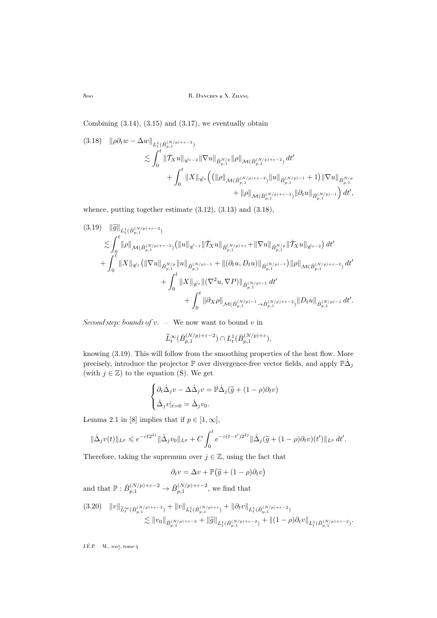800 R. DANCHIN & X. ZHANG

Combining  $(3.14)$ ,  $(3.15)$  and  $(3.17)$ , we eventually obtain

<span id="page-20-0"></span>
$$
(3.18) \quad \|\rho \partial_t w - \Delta w\|_{L^1_t(\dot{B}_{p,1}^{(N/p)+\varepsilon-2})} \leq \int_0^t \|\dot{\mathcal{T}}_X u\|_{\dot{\mathscr{C}}^{\varepsilon-2}} \|\nabla u\|_{\dot{B}_{p,1}^{N/p}} \|\rho\|_{\mathcal{M}(\dot{B}_{p,1}^{(N/p)+\varepsilon-2})} dt' + \int_0^t \|X\|_{\dot{\mathscr{C}}^{\varepsilon}} \Big( (\|\rho\|_{\mathcal{M}(\dot{B}_{p,1}^{(N/p)+\varepsilon-2})} \|u\|_{\dot{B}_{p,1}^{(N/p)-1}} + 1) \|\nabla u\|_{\dot{B}_{p,1}^{N/p}} + \|\rho\|_{\mathcal{M}(\dot{B}_{p,1}^{(N/p)+\varepsilon-2})} \|\partial_t u\|_{\dot{B}_{p,1}^{(N/p)-1}} \Big) dt',
$$

whence, putting together estimate [\(3.12\)](#page-19-3), [\(3.13\)](#page-19-4) and [\(3.18\)](#page-20-0),

<span id="page-20-1"></span>
$$
(3.19) \quad \|\widetilde{g}\|_{L^{1}_{t}(\dot{B}_{p,1}^{(N/p)+\varepsilon-2})} \leq \int_{0}^{t} \|\rho\|_{\mathcal{M}(\dot{B}_{p,1}^{(N/p)+\varepsilon-2})} \left(\|u\|_{\dot{\mathscr{C}}^{-1}} \|\dot{\mathcal{T}}_{X}u\|_{\dot{B}_{p,1}^{(N/p)+\varepsilon}} + \|\nabla u\|_{\dot{B}_{p,1}^{N/p}} \|\dot{\mathcal{T}}_{X}u\|_{\dot{\mathscr{C}}^{-2}}\right) dt' + \int_{0}^{t} \|X\|_{\dot{\mathscr{C}}^{\varepsilon}} \left(\|\nabla u\|_{\dot{B}_{p,1}^{N/p}} \|u\|_{\dot{B}_{p,1}^{(N/p)-1}} + \|(\partial_t u, D_t u)\|_{\dot{B}_{p,1}^{(N/p)-1}}\right) \|\rho\|_{\mathcal{M}(\dot{B}_{p,1}^{(N/p)+\varepsilon-2})} dt' + \int_{0}^{t} \|X\|_{\dot{\mathscr{C}}^{\varepsilon}} \|(\nabla^2 u, \nabla P)\|_{\dot{B}_{p,1}^{(N/p)-1}} dt' + \int_{0}^{t} \|\partial_{X}\rho\|_{\mathcal{M}(\dot{B}_{p,1}^{(N/p)-1}\to \dot{B}_{p,1}^{(N/p)+\varepsilon-2})} \|D_t u\|_{\dot{B}_{p,1}^{(N/p)-1}} dt'.
$$

*Second step: bounds of*  $v$ . — We now want to bound  $v$  in

$$
\widetilde{L}_t^\infty(\dot B^{(N/p)+\varepsilon-2}_{p,1})\cap L^1_t(\dot B^{(N/p)+\varepsilon}_{p,1}),
$$

knowing [\(3.19\)](#page-20-1). This will follow from the smoothing properties of the heat flow. More precisely, introduce the projector  $\mathbb P$  over divergence-free vector fields, and apply  $\mathbb P\dot\Delta_j$ (with  $j \in \mathbb{Z}$ ) to the equation [\(S\)](#page-18-2). We get

$$
\begin{cases} \partial_t \dot{\Delta}_j v - \Delta \dot{\Delta}_j v = \mathbb{P} \dot{\Delta}_j (\tilde{g} + (1 - \rho) \partial_t v) \\ \dot{\Delta}_j v|_{t=0} = \dot{\Delta}_j v_0. \end{cases}
$$

Lemma 2.1 in [\[8\]](#page-30-6) implies that if  $p \in [1, \infty]$ ,

$$
\|\dot{\Delta}_j v(t)\|_{L^p} \leqslant e^{-ct2^{2j}} \|\dot{\Delta}_j v_0\|_{L^p} + C \int_0^t e^{-c(t-t')2^{2j}} \|\dot{\Delta}_j(\tilde{g} + (1-\rho)\partial_t v)(t')\|_{L^p} dt'.
$$

Therefore, taking the supremum over  $j \in \mathbb{Z}$ , using the fact that

$$
\partial_t v = \Delta v + \mathbb{P}(\tilde{g} + (1 - \rho)\partial_t v)
$$

and that  $\mathbb{P}: \dot{B}_{p,1}^{(N/p)+\varepsilon-2} \to \dot{B}_{p,1}^{(N/p)+\varepsilon-2}$ , we find that

<span id="page-20-2"></span>
$$
(3.20) \quad ||v||_{\widetilde{L}^{\infty}_{t}(\dot{B}_{p,1}^{(N/p)+\varepsilon-2})} + ||v||_{L^{1}_{t}(\dot{B}_{p,1}^{(N/p)+\varepsilon})} + ||\partial_{t}v||_{L^{1}_{t}(\dot{B}_{p,1}^{(N/p)+\varepsilon-2})} \n\lesssim ||v_{0}||_{\dot{B}_{p,1}^{(N/p)+\varepsilon-2}} + ||\widetilde{g}||_{L^{1}_{t}(\dot{B}_{p,1}^{(N/p)+\varepsilon-2})} + ||(1-\rho)\partial_{t}v||_{L^{1}_{t}(\dot{B}_{p,1}^{(N/p)+\varepsilon-2})}.
$$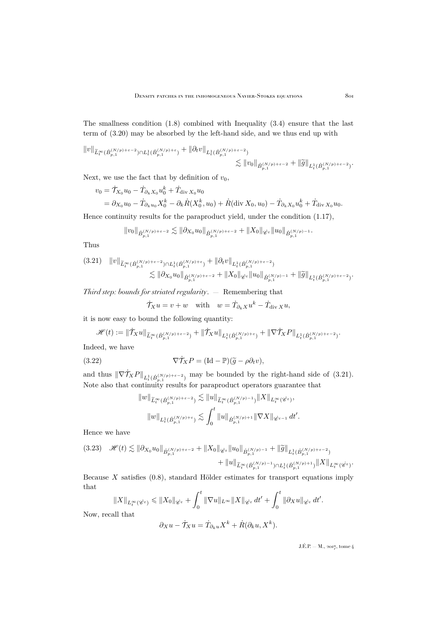The smallness condition [\(1.8\)](#page-7-1) combined with Inequality [\(3.4\)](#page-17-1) ensure that the last term of [\(3.20\)](#page-20-2) may be absorbed by the left-hand side, and we thus end up with

$$
||v||_{\widetilde{L}^{\infty}_{t}(\dot{B}_{p,1}^{(N/p)+\varepsilon-2})\cap L_{t}^{1}(\dot{B}_{p,1}^{(N/p)+\varepsilon})} + ||\partial_{t}v||_{L_{t}^{1}(\dot{B}_{p,1}^{(N/p)+\varepsilon-2})} \leq ||v_{0}||_{\dot{B}_{p,1}^{(N/p)+\varepsilon-2}} + ||\widetilde{g}||_{L_{t}^{1}(\dot{B}_{p,1}^{(N/p)+\varepsilon-2})}.
$$

Next, we use the fact that by definition of  $v_0$ ,

$$
v_0 = \dot{\mathcal{T}}_{X_0} u_0 - \dot{\mathcal{T}}_{\partial_k X_0} u_0^k + \dot{\mathcal{T}}_{\text{div } X_0} u_0
$$
  
=  $\partial_{X_0} u_0 - \dot{\mathcal{T}}_{\partial_k u_0} X_0^k - \partial_k \dot{R}(X_0^k, u_0) + \dot{R}(\text{div } X_0, u_0) - \dot{\mathcal{T}}_{\partial_k X_0} u_0^k + \dot{\mathcal{T}}_{\text{div } X_0} u_0.$ 

Hence continuity results for the paraproduct yield, under the condition [\(1.17\)](#page-10-3),

$$
\|v_0\|_{\dot{B}_{p,1}^{(N/p)+\varepsilon-2}}\lesssim \|\partial_{X_0}u_0\|_{\dot{B}_{p,1}^{(N/p)+\varepsilon-2}}+\|X_0\|_{\dot{\mathscr{C}}^{\varepsilon}}\|u_0\|_{\dot{B}_{p,1}^{(N/p)-1}}.
$$

Thus

<span id="page-21-0"></span>
$$
(3.21) \quad ||v||_{\widetilde{L}^{\infty}_{t}(\dot{B}_{p,1}^{(N/p)+\varepsilon-2}) \cap L_{t}^{1}(\dot{B}_{p,1}^{(N/p)+\varepsilon})} + ||\partial_{t}v||_{L_{t}^{1}(\dot{B}_{p,1}^{(N/p)+\varepsilon-2})} \n\lesssim ||\partial_{X_{0}} u_{0}||_{\dot{B}_{p,1}^{(N/p)+\varepsilon-2}} + ||X_{0}||_{\dot{\mathscr{C}}^{\varepsilon}} ||u_{0}||_{\dot{B}_{p,1}^{(N/p)-1}} + ||\widetilde{g}||_{L_{t}^{1}(\dot{B}_{p,1}^{(N/p)+\varepsilon-2})}.
$$

*Third step: bounds for striated regularity*. — Remembering that

$$
\dot{\mathcal{T}}_X u = v + w
$$
 with  $w = \dot{\mathcal{T}}_{\partial_k X} u^k - \dot{\mathcal{T}}_{\text{div } X} u$ ,

it is now easy to bound the following quantity:

$$
\mathscr{H}(t) := \|\dot{\mathcal{T}}_X u\|_{\widetilde{L}^{\infty}_t(\dot{B}^{(N/p)+\varepsilon-2}_{p,1})} + \|\dot{\mathcal{T}}_X u\|_{L^1_t(\dot{B}^{(N/p)+\varepsilon}_{p,1})} + \|\nabla \dot{\mathcal{T}}_X P\|_{L^1_t(\dot{B}^{(N/p)+\varepsilon-2}_{p,1})}.
$$

Indeed, we have

(3.22) 
$$
\nabla \dot{\mathcal{T}}_X P = (\text{Id} - \mathbb{P})(\widetilde{g} - \rho \partial_t v),
$$

and thus  $\|\nabla \dot{\mathcal{T}}_X P\|_{L^1_t(\dot{B}_{p,1}^{(N/p)+\varepsilon-2})}$  may be bounded by the right-hand side of [\(3.21\)](#page-21-0). Note also that continuity results for paraproduct operators guarantee that

$$
\begin{aligned}\|w\|_{\widetilde{L}^{\infty}_{t}(\dot{B}^{(N/p)+\varepsilon-2}_{p,1})}&\lesssim \|u\|_{\widetilde{L}^{\infty}_{t}(\dot{B}^{(N/p)-1}_{p,1})}\|X\|_{L^{\infty}_{t}(\dot{\mathscr{C}}^{\varepsilon})},\\&\|w\|_{L^{1}_{t}(\dot{B}^{(N/p)+\varepsilon}_{p,1})}\lesssim \int_{0}^{t}\|u\|_{\dot{B}^{(N/p)+1}_{p,1}}\|\nabla X\|_{\dot{\mathscr{C}}^{\varepsilon-1}}\,dt'.\end{aligned}
$$

Hence we have

<span id="page-21-1"></span>
$$
(3.23) \quad \mathscr{H}(t) \lesssim \|\partial_{X_0} u_0\|_{\dot{B}_{p,1}^{(N/p)+\varepsilon-2}} + \|X_0\|_{\dot{\mathscr{C}}^{\varepsilon}} \|u_0\|_{\dot{B}_{p,1}^{(N/p)-1}} + \|\widetilde{g}\|_{L^1_t(\dot{B}_{p,1}^{(N/p)+\varepsilon-2})} + \|u\|_{\widetilde{L}^{\infty}_t(\dot{B}_{p,1}^{(N/p)-1}) \cap L^1_t(\dot{B}_{p,1}^{(N/p)+1})} \|X\|_{L^{\infty}_t(\dot{\mathscr{C}}^{\varepsilon})}.
$$

Because  $X$  satisfies  $(0.8)$ , standard Hölder estimates for transport equations imply that

$$
\|X\|_{L_t^\infty(\dot{e}^\varepsilon)} \leqslant \|X_0\|_{\dot{e}^\varepsilon} + \int_0^t \|\nabla u\|_{L^\infty} \|X\|_{\dot{e}^\varepsilon} dt' + \int_0^t \|\partial_X u\|_{\dot{e}^\varepsilon} dt'.
$$

Now, recall that

$$
\partial_X u - \dot{\mathcal{T}}_X u = \dot{T}_{\partial_k u} X^k + \dot{R} (\partial_k u, X^k).
$$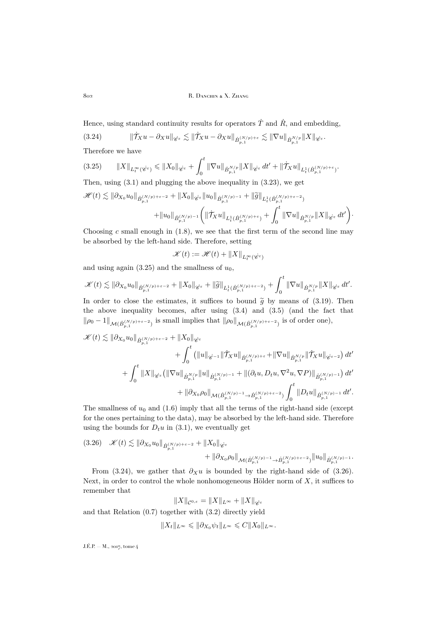802 R. DANCHIN & X. ZHANG

Hence, using standard continuity results for operators  $\dot{T}$  and  $\dot{R}$ , and embedding,

<span id="page-22-1"></span>
$$
(3.24) \t\t ||\dot{\mathcal{T}}_Xu - \partial_Xu||_{\dot{\mathscr{C}}^{\varepsilon}} \lesssim ||\dot{\mathcal{T}}_Xu - \partial_Xu||_{\dot{B}_{p,1}^{(N/p)+\varepsilon}} \lesssim ||\nabla u||_{\dot{B}_{p,1}^{N/p}} ||X||_{\dot{\mathscr{C}}^{\varepsilon}}.
$$

Therefore we have

<span id="page-22-0"></span>
$$
(3.25) \t\t ||X||_{L_t^{\infty}(\dot{C}^{\varepsilon})} \leq ||X_0||_{\dot{C}^{\varepsilon}} + \int_0^t ||\nabla u||_{\dot{B}_{p,1}^{N/p}} ||X||_{\dot{C}^{\varepsilon}} dt' + ||\dot{\mathcal{T}}_X u||_{L_t^1(\dot{B}_{p,1}^{(N/p)+\varepsilon})}.
$$

Then, using [\(3.1\)](#page-17-2) and plugging the above inequality in [\(3.23\)](#page-21-1), we get

$$
\mathscr{H}(t) \lesssim \|\partial_{X_0} u_0\|_{\dot{B}_{p,1}^{(N/p)+\varepsilon-2}} + \|X_0\|_{\dot{\mathscr{C}}^{\varepsilon}} \|u_0\|_{\dot{B}_{p,1}^{(N/p)-1}} + \|\widetilde{g}\|_{L^1_t(\dot{B}_{p,1}^{(N/p)+\varepsilon-2})} + \|u_0\|_{\dot{B}_{p,1}^{(N/p)-1}} \bigg( \|\dot{\mathcal{T}}_X u\|_{L^1_t(\dot{B}_{p,1}^{(N/p)+\varepsilon})} + \int_0^t \|\nabla u\|_{\dot{B}_{p,1}^{N/p}} \|X\|_{\dot{\mathscr{C}}^{\varepsilon}} dt' \bigg).
$$

Choosing  $c$  small enough in  $(1.8)$ , we see that the first term of the second line may be absorbed by the left-hand side. Therefore, setting

$$
\mathscr{K}(t):=\mathscr{H}(t)+\|X\|_{L_t^\infty(\dot{\mathscr{C}^\varepsilon})}
$$

and using again  $(3.25)$  and the smallness of  $u_0$ ,

$$
\mathscr{K}(t) \lesssim \|\partial_{X_0} u_0\|_{\dot{B}_{p,1}^{(N/p)+\varepsilon-2}} + \|X_0\|_{\dot{\mathscr{C}}^{\varepsilon}} + \|\widetilde{g}\|_{L^1_t(\dot{B}_{p,1}^{(N/p)+\varepsilon-2})} + \int_0^t \|\nabla u\|_{\dot{B}_{p,1}^{N/p}} \|X\|_{\dot{\mathscr{C}}^{\varepsilon}} dt'.
$$

In order to close the estimates, it suffices to bound  $\tilde{q}$  by means of [\(3.19\)](#page-20-1). Then the above inequality becomes, after using [\(3.4\)](#page-17-1) and [\(3.5\)](#page-17-3) (and the fact that  $\|\rho_0-1\|_{\mathcal{M}(B^{(N/p)+\varepsilon-2}_{p,1})}$  is small implies that  $\|\rho_0\|_{\mathcal{M}(B^{(N/p)+\varepsilon-2}_{p,1})}$  is of order one),

$$
\mathscr{K}(t) \lesssim \|\partial_{X_0} u_0\|_{\dot{B}_{p,1}^{(N/p)+\varepsilon-2}} + \|X_0\|_{\dot{\mathscr{C}}^{\varepsilon}} \n+ \int_0^t ( \|u\|_{\dot{\mathscr{C}}^{-1}} \|\dot{\mathcal{T}}_X u\|_{\dot{B}_{p,1}^{(N/p)+\varepsilon}} + \|\nabla u\|_{\dot{B}_{p,1}^{N/p}} \|\dot{\mathcal{T}}_X u\|_{\dot{\mathscr{C}}^{\varepsilon-2}}) dt' \n+ \int_0^t \|X\|_{\dot{\mathscr{C}}^{\varepsilon}} \big( \|\nabla u\|_{\dot{B}_{p,1}^{N/p}} \|u\|_{\dot{B}_{p,1}^{(N/p)-1}} + \|(\partial_t u, D_t u, \nabla^2 u, \nabla P)\|_{\dot{B}_{p,1}^{(N/p)-1}} \big) dt' \n+ \|\partial_{X_0} \rho_0\|_{\mathcal{M}(\dot{B}_{p,1}^{(N/p)-1} \to \dot{B}_{p,1}^{(N/p)+\varepsilon-2})} \int_0^t \|D_t u\|_{\dot{B}_{p,1}^{(N/p)-1}} dt'.
$$

The smallness of  $u_0$  and [\(1.6\)](#page-6-2) imply that all the terms of the right-hand side (except for the ones pertaining to the data), may be absorbed by the left-hand side. Therefore using the bounds for  $D_t u$  in [\(3.1\)](#page-17-2), we eventually get

<span id="page-22-2"></span>
$$
(3.26) \quad \mathscr{K}(t) \lesssim \|\partial_{X_0} u_0\|_{\dot{B}_{p,1}^{(N/p)+\varepsilon-2}} + \|X_0\|_{\dot{\mathscr{C}}^{\varepsilon}} + \|\partial_{X_0} \rho_0\|_{\mathcal{M}(\dot{B}_{p,1}^{(N/p)-1}\to \dot{B}_{p,1}^{(N/p)+\varepsilon-2})} \|u_0\|_{\dot{B}_{p,1}^{(N/p)-1}}.
$$

From [\(3.24\)](#page-22-1), we gather that  $\partial_X u$  is bounded by the right-hand side of [\(3.26\)](#page-22-2). Next, in order to control the whole nonhomogeneous Hölder norm of  $X$ , it suffices to remember that

$$
\|X\|_{\mathcal{C}^{0,\varepsilon}}=\|X\|_{L^\infty}+\|X\|_{\dot{\mathscr{C}}^{\varepsilon}}
$$

and that Relation [\(0.7\)](#page-3-2) together with [\(3.2\)](#page-17-4) directly yield

$$
||X_t||_{L^{\infty}} \leqslant ||\partial_{X_0}\psi_t||_{L^{\infty}} \leqslant C||X_0||_{L^{\infty}}.
$$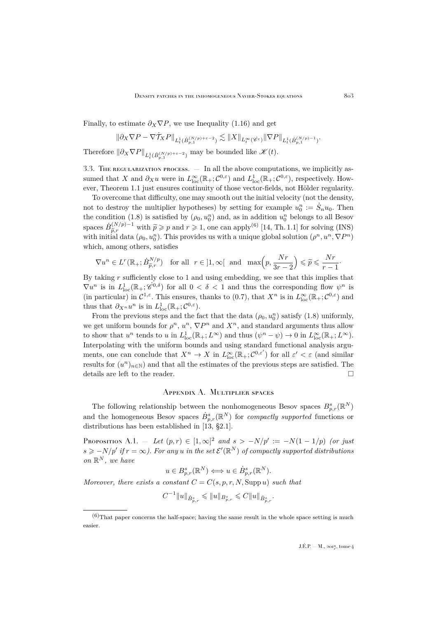Finally, to estimate  $\partial_X \nabla P$ , we use Inequality [\(1.16\)](#page-10-1) and get

$$
\|\partial_X\nabla P-\nabla \dot{\mathcal{T}}_\mathbf{X}P\|_{L^1_t(\dot B^{(N/p)+\varepsilon-2}_{p,1})}\lesssim\|\mathbf{X}\|_{L^\infty_t(\dot{\mathscr{C}}^\varepsilon)}\|\nabla P\|_{L^1_t(\dot B^{(N/p)-1}_{p,1})}.
$$

Therefore  $\|\partial_X \nabla P\|_{L^1_t(\dot{B}_{p,1}^{(N/p)+\varepsilon-2})}$  may be bounded like  $\mathscr{K}(t)$ .

3.3. The regularization process. — In all the above computations, we implicitly assumed that X and  $\partial_X u$  were in  $L^{\infty}_{loc}(\mathbb{R}_+;\mathcal{C}^{0,\varepsilon})$  and  $L^1_{loc}(\mathbb{R}_+;\mathcal{C}^{0,\varepsilon})$ , respectively. However, Theorem [1.1](#page-6-1) just ensures continuity of those vector-fields, not Hölder regularity.

To overcome that difficulty, one may smooth out the initial velocity (not the density, not to destroy the multiplier hypotheses) by setting for example  $u_0^n := \dot{S}_n u_0$ . Then the condition [\(1.8\)](#page-7-1) is satisfied by  $(\rho_0, u_0^n)$  and, as in addition  $u_0^n$  belongs to all Besov spaces  $\dot{B}_{\tilde{p},r}^{(N/p)-1}$  with  $\tilde{p} \geq p$  and  $r \geq 1$ , one can apply<sup>(6)</sup> [\[14,](#page-31-6) Th. 1.1] for solving (INS) with initial data  $(\rho_0, u_0^n)$ . This provides us with a unique global solution  $(\rho^n, u^n, \nabla P^n)$ which, among others, satisfies

$$
\nabla u^n\in L^r(\mathbb{R}_+;\dot B^{N/p}_{\tilde{p},r})\quad\text{for all}\quad r\in{]1,\infty[}\quad\text{and}\quad\max\Bigl(p,\frac{Nr}{3r-2}\Bigr)\leqslant\widetilde{p}\leqslant\frac{Nr}{r-1}.
$$

By taking  $r$  sufficiently close to 1 and using embedding, we see that this implies that  $\nabla u^n$  is in  $L^1_{loc}(\mathbb{R}_+;\check{\mathscr{C}}^{0,\delta})$  for all  $0<\delta<1$  and thus the corresponding flow  $\psi^n$  is (in particular) in  $\mathcal{C}^{1,\varepsilon}$ . This ensures, thanks to  $(0.7)$ , that  $X^n$  is in  $L^{\infty}_{loc}(\mathbb{R}_+;\mathcal{C}^{0,\varepsilon})$  and thus that  $\partial_{X^n} u^n$  is in  $L^1_{\text{loc}}(\mathbb{R}_+;\mathcal{C}^{0,\varepsilon}).$ 

From the previous steps and the fact that the data  $(\rho_0, u_0^n)$  satisfy  $(1.8)$  uniformly, we get uniform bounds for  $\rho^n$ ,  $u^n$ ,  $\nabla P^n$  and  $X^n$ , and standard arguments thus allow to show that  $u^n$  tends to u in  $L^1_{loc}(\mathbb{R}_+; L^{\infty})$  and thus  $(\psi^n - \psi) \to 0$  in  $L^{\infty}_{loc}(\mathbb{R}_+; L^{\infty})$ . Interpolating with the uniform bounds and using standard functional analysis arguments, one can conclude that  $X^n \to X$  in  $L^{\infty}_{loc}(\mathbb{R}_+;\mathcal{C}^{0,\varepsilon'})$  for all  $\varepsilon' < \varepsilon$  (and similar results for  $(u^n)_{n\in\mathbb{N}}$  and that all the estimates of the previous steps are satisfied. The details are left to the reader.

### Appendix A. Multiplier spaces

<span id="page-23-0"></span>The following relationship between the nonhomogeneous Besov spaces  $B^s_{p,r}(\mathbb{R}^N)$ and the homogeneous Besov spaces  $\dot{B}_{p,r}^s(\mathbb{R}^N)$  for *compactly supported* functions or distributions has been established in [\[13,](#page-31-16) §2.1].

<span id="page-23-1"></span>PROPOSITION A.1. — *Let*  $(p,r) \in [1,\infty]^2$  *and*  $s > -N/p' := -N(1-1/p)$  *(or just*  $s \geqslant -N/p'$  if  $r = \infty$ ). For any u in the set  $\mathcal{E}'(\mathbb{R}^N)$  of compactly supported distributions *on* R <sup>N</sup> *, we have*

$$
u \in B_{p,r}^s(\mathbb{R}^N) \Longleftrightarrow u \in \dot{B}_{p,r}^s(\mathbb{R}^N).
$$

*Moreover, there exists a constant*  $C = C(s, p, r, N, \text{Supp } u)$  *such that* 

$$
C^{-1} \|u\|_{\dot{B}^s_{p,r}} \leqslant \|u\|_{B^s_{p,r}} \leqslant C \|u\|_{\dot{B}^s_{p,r}}.
$$

 $(6)$ That paper concerns the half-space; having the same result in the whole space setting is much easier.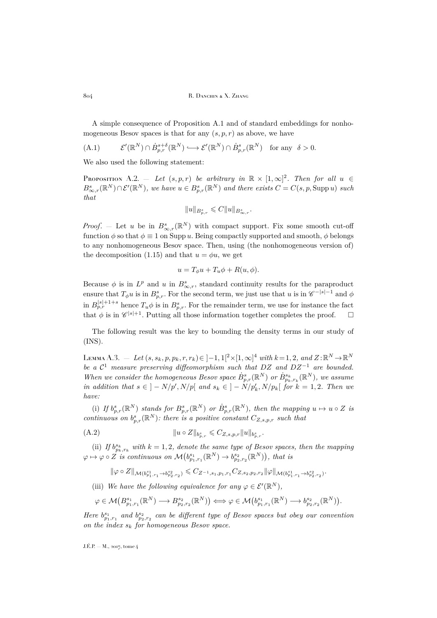804 R. DANCHIN & X. ZHANG

A simple consequence of Proposition [A.1](#page-23-1) and of standard embeddings for nonhomogeneous Besov spaces is that for any  $(s, p, r)$  as above, we have

<span id="page-24-2"></span>(A.1) 
$$
\mathcal{E}'(\mathbb{R}^N) \cap \dot{B}_{p,r}^{s+\delta}(\mathbb{R}^N) \longrightarrow \mathcal{E}'(\mathbb{R}^N) \cap \dot{B}_{p,r}^s(\mathbb{R}^N) \text{ for any } \delta > 0.
$$

We also used the following statement:

<span id="page-24-1"></span>PROPOSITION A.2.  $-$  Let  $(s, p, r)$  be arbitrary in  $\mathbb{R} \times [1, \infty]^2$ . Then for all  $u \in$  $B_{\infty,r}^s(\mathbb{R}^N) \cap \mathcal{E}'(\mathbb{R}^N)$ , we have  $u \in B_{p,r}^s(\mathbb{R}^N)$  and there exists  $C = C(s, p, \text{Supp } u)$  such *that*

$$
||u||_{B^{s}_{p,r}} \leqslant C||u||_{B^{s}_{\infty,r}}.
$$

*Proof.* – Let u be in  $B^s_{\infty,r}(\mathbb{R}^N)$  with compact support. Fix some smooth cut-off function  $\phi$  so that  $\phi \equiv 1$  on Supp u. Being compactly supported and smooth,  $\phi$  belongs to any nonhomogeneous Besov space. Then, using (the nonhomogeneous version of) the decomposition [\(1.15\)](#page-10-0) and that  $u = \phi u$ , we get

$$
u = T_{\phi}u + T_{u}\phi + R(u, \phi).
$$

Because  $\phi$  is in  $L^p$  and u in  $B^s_{\infty,r}$ , standard continuity results for the paraproduct ensure that  $T_{\phi}u$  is in  $B^s_{p,r}$ . For the second term, we just use that u is in  $\mathscr{C}^{-|s|-1}$  and  $\phi$ in  $B_{p,r}^{|s|+1+s}$  hence  $T_u\phi$  is in  $B_{p,r}^s$ . For the remainder term, we use for instance the fact that  $\phi$  is in  $\mathscr{C}^{|s|+1}$ . Putting all those information together completes the proof.  $\Box$ 

The following result was the key to bounding the density terms in our study of [\(INS\)](#page-2-1).

<span id="page-24-0"></span> $\text{Lemma A.3.} \ = \ Let \ (s, s_k, p, p_k, r, r_k) \in [-1, 1[^2 \times [1, \infty]^4 \ \textit{with} \ k = 1, 2, \ and \ Z : \mathbb{R}^N \to \mathbb{R}^N$ *be a* C <sup>1</sup> *measure preserving diffeomorphism such that* DZ *and* DZ<sup>−</sup><sup>1</sup> *are bounded.* When we consider the homogeneous Besov space  $\dot{B}_{p,r}^s(\mathbb{R}^N)$  or  $\dot{B}_{p_k,r_k}^{s_k}(\mathbb{R}^N)$ , we assume  $\int$ *in addition that*  $s \in ]-N/p', N/p[$  and  $s_k \in ]-N/p'_k, N/p_k[$  for  $k = 1, 2$ . Then we *have:*

(i) If  $b_{p,r}^s(\mathbb{R}^N)$  *stands for*  $B_{p,r}^s(\mathbb{R}^N)$  *or*  $\dot{B}_{p,r}^s(\mathbb{R}^N)$ *, then the mapping*  $u \mapsto u \circ Z$  *is continuous on*  $b_{p,r}^s(\mathbb{R}^N)$ *: there is a positive constant*  $C_{Z,s,p,r}$  *such that* 

(A.2) 
$$
||u \circ Z||_{b_{p,r}^s} \leqslant C_{Z,s,p,r}||u||_{b_{p,r}^s}.
$$

(ii) If  $b_{p_k,r_k}^{s_k}$  with  $k = 1, 2$ , denote the same type of Besov spaces, then the mapping  $\varphi \mapsto \varphi \circ \overline{Z}$  is continuous on  $\mathcal{M}(b^{s_1}_{p_1,r_1}(\mathbb{R}^N) \to b^{s_2}_{p_2,r_2}(\mathbb{R}^N))$ , that is

<span id="page-24-3"></span>
$$
\|\varphi\circ Z\|_{\mathcal{M}(b^{s_1}_{p_1,r_1}\to b^{s_2}_{p_2,r_2})}\leqslant C_{Z^{-1},s_1,p_1,r_1}C_{Z,s_2,p_2,r_2}\|\varphi\|_{\mathcal{M}(b^{s_1}_{p_1,r_1}\to b^{s_2}_{p_2,r_2})}.
$$

(iii) We have the following equivalence for any  $\varphi \in \mathcal{E}'(\mathbb{R}^N)$ ,

$$
\varphi \in \mathcal{M}(B^{s_1}_{p_1,r_1}(\mathbb{R}^N) \longrightarrow B^{s_2}_{p_2,r_2}(\mathbb{R}^N)) \Longleftrightarrow \varphi \in \mathcal{M}(b^{s_1}_{p_1,r_1}(\mathbb{R}^N) \longrightarrow b^{s_2}_{p_2,r_2}(\mathbb{R}^N)).
$$

*Here*  $b_{p_1,r_1}^{s_1}$  and  $b_{p_2,r_2}^{s_2}$  can be different type of Besov spaces but obey our convention *on the index* s<sup>k</sup> *for homogeneous Besov space.*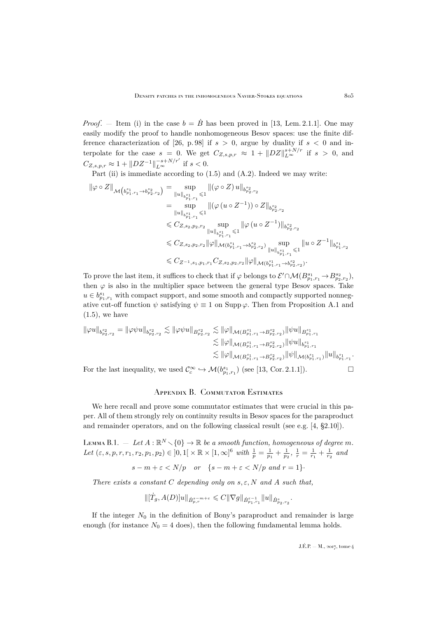*Proof.* — Item (i) in the case  $b = \dot{B}$  has been proved in [\[13,](#page-31-16) Lem. 2.1.1]. One may easily modify the proof to handle nonhomogeneous Besov spaces: use the finite dif-ference characterization of [\[26,](#page-31-15) p. 98] if  $s > 0$ , argue by duality if  $s < 0$  and interpolate for the case  $s = 0$ . We get  $C_{Z,s,p,r} \approx 1 + ||DZ||_{L^{\infty}}^{s+N/r}$  if  $s > 0$ , and  $C_{Z,s,p,r} \approx 1 + ||D Z^{-1}||_{L^{\infty}}^{-s+N/r'}$  if  $s < 0$ .

Part (ii) is immediate according to  $(1.5)$  and  $(A.2)$ . Indeed we may write:

$$
\begin{split} \|\varphi\circ Z\|_{\mathcal{M}\left(b^{s_{1}}_{p_{1},r_{1}}\rightarrow b^{s_{2}}_{p_{2},r_{2}}\right)}&=\sup_{\|u\|_{b^{s_{1}}_{p_{1},r_{1}}}\leqslant 1}\|(\varphi\circ Z)\,u\|_{b^{s_{2}}_{p_{2},r_{2}}}\\ &=\sup_{\|u\|_{b^{s_{1}}_{p_{1},r_{1}}}\leqslant 1}\|\big(\varphi\,(u\circ Z^{-1})\big)\circ Z\|_{b^{s_{2}}_{p_{2},r_{2}}}\\ &\leqslant C_{Z,s_{2},p_{2},r_{2}}\sup_{\|u\|_{b^{s_{1}}_{p_{1},r_{1}}}\leqslant 1}\|\varphi\,(u\circ Z^{-1})\|_{b^{s_{2}}_{p_{2},r_{2}}}\\ &\leqslant C_{Z,s_{2},p_{2},r_{2}}\|\varphi\|_{\mathcal{M}(b^{s_{1}}_{p_{1},r_{1}}\rightarrow b^{s_{2}}_{p_{2},r_{2}})}\sup_{\|u\|_{b^{s_{1}}_{p_{1},r_{1}}}\leqslant 1}\|u\circ Z^{-1}\|_{b^{s_{1}}_{p_{1},r_{2}}}\\ &\leqslant C_{Z^{-1},s_{1},p_{1},r_{1}}C_{Z,s_{2},p_{2},r_{2}}\|\varphi\|_{\mathcal{M}(b^{s_{1}}_{p_{1},r_{1}}\rightarrow b^{s_{2}}_{p_{2},r_{2}})}.\end{split}
$$

To prove the last item, it suffices to check that if  $\varphi$  belongs to  $\mathcal{E}' \cap \mathcal{M}(B^{s_1}_{p_1,r_1} \to B^{s_2}_{p_2,r_2}),$ then  $\varphi$  is also in the multiplier space between the general type Besov spaces. Take  $u \in b_{p_1,r_1}^{s_1}$  with compact support, and some smooth and compactly supported nonnegative cut-off function  $\psi$  satisfying  $\psi \equiv 1$  on Supp  $\varphi$ . Then from Proposition [A.1](#page-23-1) and  $(1.5)$ , we have

$$
\begin{split} \|\varphi u\|_{b^{s_2}_{p_2,r_2}} &= \|\varphi \psi u\|_{b^{s_2}_{p_2,r_2}} \lesssim \|\varphi \psi u\|_{B^{s_2}_{p_2,r_2}} \lesssim \|\varphi\|_{\mathcal{M}(B^{s_1}_{p_1,r_1}\to B^{s_2}_{p_2,r_2})} \|\psi u\|_{B^{s_1}_{p_1,r_1}} \\ &\lesssim \|\varphi\|_{\mathcal{M}(B^{s_1}_{p_1,r_1}\to B^{s_2}_{p_2,r_2})} \|\psi u\|_{b^{s_1}_{p_1,r_1}} \\ &\lesssim \|\varphi\|_{\mathcal{M}(B^{s_1}_{p_1,r_1}\to B^{s_2}_{p_2,r_2})} \|\psi\|_{\mathcal{M}(b^{s_1}_{p_1,r_1})} \|u\|_{b^{s_1}_{p_1,r_1}}. \end{split}
$$
 For the last inequality, we used  $\mathcal{C}_c^\infty \hookrightarrow \mathcal{M}(b^{s_1}_{p_1,r_1})$  (see [13, Cor. 2.1.1]).  $\hfill \Box$ 

Appendix B. Commutator Estimates

<span id="page-25-0"></span>We here recall and prove some commutator estimates that were crucial in this paper. All of them strongly rely on continuity results in Besov spaces for the paraproduct and remainder operators, and on the following classical result (see e.g. [\[4,](#page-30-3) §2.10]).

<span id="page-25-1"></span> $\n LEMMA B.1. = Let A : ℝ<sup>N</sup> \setminus {0} \rightarrow ℝ be a smooth function, homogeneous of degree m.$ Let  $(\varepsilon, s, p, r, r_1, r_2, p_1, p_2) \in ]0, 1[ \times \mathbb{R} \times [1, \infty]^6 \text{ with } \frac{1}{p} = \frac{1}{p_1} + \frac{1}{p_2}, \frac{1}{r} = \frac{1}{r_1} + \frac{1}{r_2}$  and

$$
s - m + \varepsilon < N/p \quad \text{or} \quad \{s - m + \varepsilon < N/p \text{ and } r = 1\}.
$$

*There exists a constant* C *depending only on* s, ε, N *and* A *such that,*

$$
\|[\dot{T}_g,A(D)]u\|_{\dot{B}^{s-m+\varepsilon}_{p,r}}\leqslant C\|\nabla g\|_{\dot{B}^{\varepsilon-1}_{p_1,r_1}}\|u\|_{\dot{B}^{s}_{p_2,r_2}}.
$$

If the integer  $N_0$  in the definition of Bony's paraproduct and remainder is large enough (for instance  $N_0 = 4$  does), then the following fundamental lemma holds.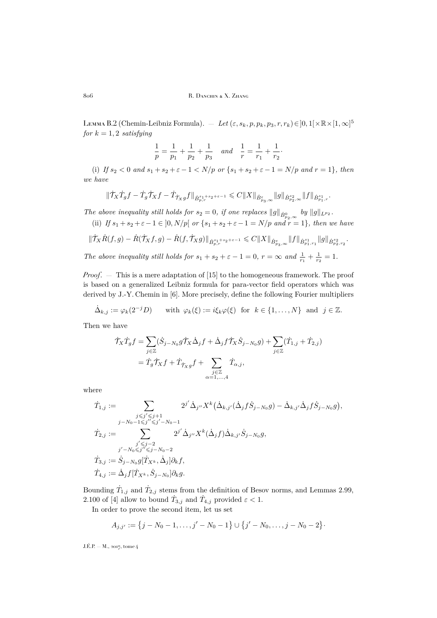806 R. DANCHIN & X. ZHANG

<span id="page-26-0"></span>Lемма В.2 (Chemin-Leibniz Formula). — *Let* ( $\varepsilon, s_k, p, p_k, p_3, r, r_k$ )∈]0,1[×ℝ×[1,∞]<sup>5</sup> *for*  $k = 1, 2$  *satisfying* 

$$
\frac{1}{p}=\frac{1}{p_1}+\frac{1}{p_2}+\frac{1}{p_3} \quad and \quad \frac{1}{r}=\frac{1}{r_1}+\frac{1}{r_2}.
$$

(i) If  $s_2 < 0$  and  $s_1 + s_2 + \varepsilon - 1 < N/p$  or  $\{s_1 + s_2 + \varepsilon - 1 = N/p$  and  $r = 1\}$ , then *we have*

$$
\|\dot{\mathcal{T}}_X\dot{T}_gf-\dot{T}_g\dot{\mathcal{T}}_Xf-\dot{T}_{\dot{\mathcal{T}}_Xg}f\|_{\dot{B}^{s_1+s_2+\varepsilon-1}_{p,r}}\leqslant C\|X\|_{\dot{B}^{s}_{p_3,\infty}}\|g\|_{\dot{B}^{s_2}_{p_2,\infty}}\|f\|_{\dot{B}^{s_1}_{p_1,r}}.
$$

*The above inequality still holds for*  $s_2 = 0$ , *if one replaces*  $||g||_{\dot{B}_{p_2,\infty}^0}$  by  $||g||_{L^{p_2}}$ .

(ii) *If*  $s_1 + s_2 + \varepsilon - 1 \in ]0, N/p[$  or  $\{s_1 + s_2 + \varepsilon - 1 = N/p \text{ and } r = 1\}$ , then we have

$$
\|\dot{\mathcal{T}}_X \dot{R}(f,g) - \dot{R}(\dot{\mathcal{T}}_X f,g) - \dot{R}(f,\dot{\mathcal{T}}_X g)\|_{\dot{B}^{s_1+s_2+\varepsilon-1}_{p,r}} \leqslant C \|X\|_{\dot{B}^s_{p_3,\infty}} \|f\|_{\dot{B}^{s_1}_{p_1,r_1}} \|g\|_{\dot{B}^{s_2}_{p_2,r_2}}.
$$

*The above inequality still holds for*  $s_1 + s_2 + \varepsilon - 1 = 0$ ,  $r = \infty$  and  $\frac{1}{r_1} + \frac{1}{r_2} = 1$ .

*Proof*. — This is a mere adaptation of [\[15\]](#page-31-0) to the homogeneous framework. The proof is based on a generalized Leibniz formula for para-vector field operators which was derived by J.-Y. Chemin in [\[6\]](#page-30-9). More precisely, define the following Fourier multipliers

$$
\dot{\Delta}_{k,j} := \varphi_k(2^{-j}D) \quad \text{with } \varphi_k(\xi) := i\xi_k\varphi(\xi) \text{ for } k \in \{1, \dots, N\} \text{ and } j \in \mathbb{Z}.
$$

Then we have

$$
\begin{split} \dot{\mathcal{T}}_X \dot{T}_g f &= \sum_{j \in \mathbb{Z}} (\dot{S}_{j-N_0} g \dot{\mathcal{T}}_X \dot{\Delta}_j f + \dot{\Delta}_j f \dot{\mathcal{T}}_X \dot{S}_{j-N_0} g) + \sum_{j \in \mathbb{Z}} (\dot{T}_{1,j} + \dot{T}_{2,j}) \\ &= \dot{T}_g \dot{\mathcal{T}}_X f + \dot{T}_{\dot{\mathcal{T}}_X g} f + \sum_{\substack{j \in \mathbb{Z} \\ \alpha = 1, \dots, 4}} \dot{T}_{\alpha,j}, \end{split}
$$

where

$$
\begin{aligned} \dot{T}_{1,j} &:= \sum_{\substack{j \leq j' \leq j+1 \\ j-N_0-1 \leq j'' \leq j'-N_0-1}} 2^{j'} \dot{\Delta}_{j''} X^k \big( \dot{\Delta}_{k,j'} (\dot{\Delta}_j f \dot{S}_{j-N_0} g) - \dot{\Delta}_{k,j'} \dot{\Delta}_j f \dot{S}_{j-N_0} g \big), \\ \dot{T}_{2,j} &:= \sum_{\substack{j' \leq j-2 \\ j'-N_0 \leq j'' \leq j-N_0-2}} 2^{j'} \dot{\Delta}_{j''} X^k (\dot{\Delta}_j f) \dot{\Delta}_{k,j'} \dot{S}_{j-N_0} g, \\ \dot{T}_{3,j} &:= \dot{S}_{j-N_0} g [\dot{T}_{X^k}, \dot{\Delta}_j] \partial_k f, \\ \dot{T}_{4,j} &:= \dot{\Delta}_j f [\dot{T}_{X^k}, \dot{S}_{j-N_0}] \partial_k g. \end{aligned}
$$

Bounding  $\dot{T}_{1,j}$  and  $\dot{T}_{2,j}$  stems from the definition of Besov norms, and Lemmas 2.99, 2.100 of [\[4\]](#page-30-3) allow to bound  $\dot{T}_{3,j}$  and  $\dot{T}_{4,j}$  provided  $\varepsilon < 1$ .

In order to prove the second item, let us set

$$
A_{j,j'} := \{j-N_0-1,\ldots,j'-N_0-1\} \cup \{j'-N_0,\ldots,j-N_0-2\}.
$$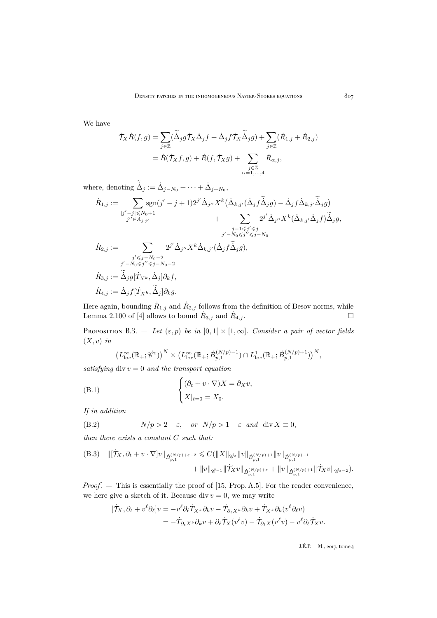We have

$$
\begin{aligned}\n\dot{\mathcal{T}}_X \dot{R}(f,g) &= \sum_{j \in \mathbb{Z}} (\tilde{\Delta}_j g \dot{\mathcal{T}}_X \dot{\Delta}_j f + \dot{\Delta}_j f \dot{\mathcal{T}}_X \tilde{\Delta}_j g) + \sum_{j \in \mathbb{Z}} (\dot{R}_{1,j} + \dot{R}_{2,j}) \\
&= \dot{R}(\dot{\mathcal{T}}_X f, g) + \dot{R}(f, \dot{\mathcal{T}}_X g) + \sum_{\substack{j \in \mathbb{Z} \\ \alpha = 1, \dots, 4}} \dot{R}_{\alpha,j},\n\end{aligned}
$$

where, denoting  $\dot{\Delta}_j := \dot{\Delta}_{j-N_0} + \cdots + \dot{\Delta}_{j+N_0}$ ,

$$
\dot{R}_{1,j} := \sum_{\substack{|j'-j| \le N_0 + 1 \\ j'' \in A_{j,j'}|}} \operatorname{sgn}(j'-j+1) 2^{j'} \dot{\Delta}_{j''} X^k \left(\dot{\Delta}_{k,j'}(\dot{\Delta}_j f \dot{\Delta}_j g) - \dot{\Delta}_j f \dot{\Delta}_{k,j'} \dot{\Delta}_j g\right) \newline + \sum_{\substack{j-1 \le j' \le j \\ j'-N_0 \le j'' \le j-N_0}} \underbrace{2^{j'} \dot{\Delta}_{j''}} X^k \left(\dot{\Delta}_{k,j'} \dot{\Delta}_j f\right) \tilde{\Delta}_j g,
$$
\n
$$
\dot{R}_{2,j} := \sum_{\substack{j' \le j-N_0 - 2 \\ j'-N_0 \le j'' \le j-N_0 - 2}} \underbrace{2^{j'} \dot{\Delta}_{j''} X^k \dot{\Delta}_{k,j'}(\dot{\Delta}_j f \tilde{\Delta}_j g),
$$
\n
$$
\dot{R}_{3,j} := \tilde{\Delta}_j g[\dot{T}_{X^k}, \dot{\Delta}_j] \partial_k f,
$$
\n
$$
\dot{R}_{4,j} := \dot{\Delta}_j f[\dot{T}_{X^k}, \tilde{\Delta}_j] \partial_k g.
$$

Here again, bounding  $\dot{R}_{1,j}$  and  $\dot{R}_{2,j}$  follows from the definition of Besov norms, while Lemma 2.100 of [\[4\]](#page-30-3) allows to bound  $\dot{R}_{3,j}$  and  $\dot{R}$  $A_{i,j}$  .

<span id="page-27-0"></span>Proposition B.3.  $-$  *Let*  $(\varepsilon, p)$  *be in*  $]0,1[ \times [1,\infty]$ *. Consider a pair of vector fields* (X, v) *in*

<span id="page-27-2"></span>
$$
\left(L_{\text{loc}}^{\infty}(\mathbb{R}_{+};\dot{\mathscr{C}}^{\varepsilon})\right)^{N}\times\left(L_{\text{loc}}^{\infty}(\mathbb{R}_{+};\dot{B}_{p,1}^{(N/p)-1})\cap L_{\text{loc}}^{1}(\mathbb{R}_{+};\dot{B}_{p,1}^{(N/p)+1})\right)^{N},
$$

*satisfying* div  $v = 0$  *and the transport equation* 

(B.1) 
$$
\begin{cases} (\partial_t + v \cdot \nabla)X = \partial_X v, \\ X|_{t=0} = X_0. \end{cases}
$$

*If in addition*

<span id="page-27-3"></span>(B.2) 
$$
N/p > 2 - \varepsilon
$$
, or  $N/p > 1 - \varepsilon$  and div  $X \equiv 0$ ,

*then there exists a constant* C *such that:*

<span id="page-27-1"></span>(B.3) 
$$
\begin{aligned} \|[\dot{\mathcal{T}}_X,\partial_t + v \cdot \nabla]v\|_{\dot{B}_{p,1}^{(N/p)+\varepsilon-2}} &\leq C(\|X\|_{\dot{\mathscr{C}}^{\varepsilon}}\|v\|_{\dot{B}_{p,1}^{(N/p)+1}}\|v\|_{\dot{B}_{p,1}^{(N/p)-1}}\\ &+ \|v\|_{\dot{\mathscr{C}}^{-1}}\|\dot{\mathcal{T}}_Xv\|_{\dot{B}_{p,1}^{(N/p)+\varepsilon}} + \|v\|_{\dot{B}_{p,1}^{(N/p)+1}}\|\dot{\mathcal{T}}_Xv\|_{\dot{\mathscr{C}}^{\varepsilon-2}}). \end{aligned}
$$

*Proof.* — This is essentially the proof of [\[15,](#page-31-0) Prop. A.5]. For the reader convenience, we here give a sketch of it. Because div  $v = 0$ , we may write

$$
\begin{aligned} [\mathcal{T}_X, \partial_t + v^\ell \partial_\ell] v &= -v^\ell \partial_\ell \dot{T}_{X^k} \partial_k v - \dot{T}_{\partial_t X^k} \partial_k v + \dot{T}_{X^k} \partial_k (v^\ell \partial_\ell v) \\ &= -\dot{T}_{\partial_t X^k} \partial_k v + \partial_\ell \dot{T}_X (v^\ell v) - \dot{T}_{\partial_\ell X} (v^\ell v) - v^\ell \partial_\ell \dot{T}_X v. \end{aligned}
$$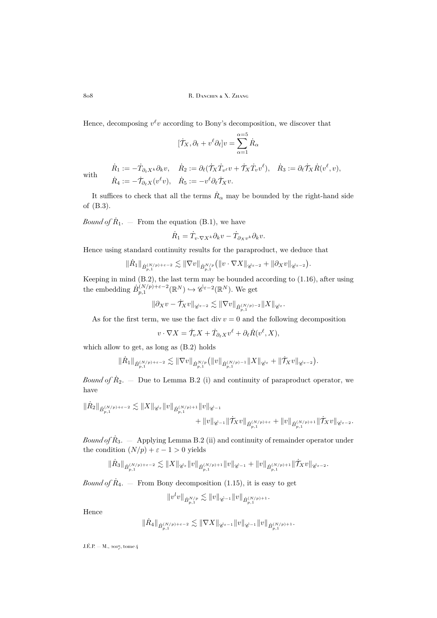Hence, decomposing  $v^{\ell}v$  according to Bony's decomposition, we discover that

$$
[\dot{\mathcal{T}}_X, \partial_t + v^\ell \partial_\ell] v = \sum_{\alpha=1}^{\alpha=5} \dot{R}_\alpha
$$

with

 $\dot{R}_1 := -\dot{T}_{\partial_t X^k}\partial_k v, \quad \dot{R}_2 := \partial_\ell(\dot{\mathcal{T}}_X\dot{T}_{v^\ell}v + \dot{\mathcal{T}}_X\dot{T}_{v}v^\ell), \quad \dot{R}_3 := \partial_\ell \dot{\mathcal{T}}_X\dot{R}(v^\ell,v),$  $\dot{R}_4 := -\dot{\mathcal{T}}_{\partial_{\ell}X}(v^{\ell}v), \quad \dot{R}_5 := -v^{\ell}\partial_{\ell}\dot{\mathcal{T}}_{X}v.$ 

It suffices to check that all the terms  $\dot{R}_{\alpha}$  may be bounded by the right-hand side of [\(B.3\)](#page-27-1).

*Bound of*  $\dot{R}_1$ . – From the equation [\(B.1\)](#page-27-2), we have

$$
\dot{R}_1 = \dot{T}_{v \cdot \nabla X^k} \partial_k v - \dot{T}_{\partial_X v^k} \partial_k v.
$$

Hence using standard continuity results for the paraproduct, we deduce that

$$
\|\dot{R}_1\|_{\dot{B}_{p,1}^{(N/p)+\varepsilon-2}}\lesssim \|\nabla v\|_{\dot{B}_{p,1}^{N/p}}\big(\|v\cdot \nabla X\|_{\dot{\mathscr{C}}^{\varepsilon-2}}+\|\partial_X v\|_{\dot{\mathscr{C}}^{\varepsilon-2}}\big).
$$

Keeping in mind [\(B.2\)](#page-27-3), the last term may be bounded according to [\(1.16\)](#page-10-1), after using the embedding  $\dot{B}_{p,1}^{(N/p)+\varepsilon-2}(\mathbb{R}^N) \hookrightarrow \dot{\mathscr{C}}^{\varepsilon-2}(\mathbb{R}^N)$ . We get

$$
\|\partial_X v-\dot{\mathcal{T}}_X v\|_{\dot{\mathscr{C}}^{\varepsilon-2}}\lesssim \|\nabla v\|_{\dot{B}_{p,1}^{(N/p)-2}}\|X\|_{\dot{\mathscr{C}}^{\varepsilon}}.
$$

As for the first term, we use the fact div  $v = 0$  and the following decomposition

$$
v \cdot \nabla X = \dot{\mathcal{T}}_v X + \dot{T}_{\partial_{\ell} X} v^{\ell} + \partial_{\ell} \dot{R} (v^{\ell}, X),
$$

which allow to get, as long as [\(B.2\)](#page-27-3) holds

$$
\|\dot{R}_1\|_{\dot{B}_{p,1}^{(N/p)+\varepsilon-2}}\lesssim \|\nabla v\|_{\dot{B}_{p,1}^{N/p}}\big(\|v\|_{\dot{B}_{p,1}^{(N/p)-1}}\|X\|_{\dot{\mathscr{C}}^{\varepsilon}}+\|\dot{\mathcal{T}}_Xv\|_{\dot{\mathscr{C}}^{\varepsilon-2}}\big).
$$

*Bound of*  $R_2$ . – Due to Lemma [B.2](#page-26-0) (i) and continuity of paraproduct operator, we have

$$
\begin{aligned} \|\dot R_2\|_{\dot B^{(N/p)+\varepsilon-2}_{p,1}} \lesssim \|X\|_{\dot {\mathscr C}^\varepsilon} \|v\|_{\dot B^{(N/p)+1}_{p,1}} \|v\|_{\dot {\mathscr C}^{-1}} \\ &\qquad \qquad + \|v\|_{\dot {\mathscr C}^{-1}} \|\dot {\mathcal T}_X v\|_{\dot B^{(N/p)+\varepsilon}_{p,1}} + \|v\|_{\dot B^{(N/p)+1}_{p,1}} \|\dot {\mathcal T}_X v\|_{\dot {\mathscr C}^{\varepsilon-2}}. \end{aligned}
$$

 $\mathit{Bound}\ of\ \dot R_3.\ =\ {\rm Applying}\ Lemma\ B.2$  $\mathit{Bound}\ of\ \dot R_3.\ =\ {\rm Applying}\ Lemma\ B.2$  (ii) and continuity of remainder operator under the condition  $(N/p) + \varepsilon - 1 > 0$  yields

$$
\|\dot{R}_3\|_{\dot{B}_{p,1}^{(N/p)+\varepsilon-2}}\lesssim \|X\|_{\dot{\mathscr{C}^{\varepsilon}}}\|v\|_{\dot{B}_{p,1}^{(N/p)+1}}\|v\|_{\dot{\mathscr{C}}^{-1}}+\|v\|_{\dot{B}_{p,1}^{(N/p)+1}}\|\dot{\mathcal{T}}_X v\|_{\dot{\mathscr{C}}^{\varepsilon-2}}.
$$

*Bound of*  $R_{4}$ . – From Bony decomposition [\(1.15\)](#page-10-0), it is easy to get

$$
||v^lv||_{\dot{B}_{p,1}^{N/p}} \lesssim ||v||_{\dot{\mathscr{C}}^{-1}} ||v||_{\dot{B}_{p,1}^{(N/p)+1}}.
$$

Hence

$$
\|\dot{R}_4\|_{\dot{B}_{p,1}^{(N/p)+\varepsilon-2}}\lesssim \|\nabla X\|_{\dot{\mathscr{C}}^{\varepsilon-1}} \|v\|_{\dot{\mathscr{C}}^{-1}} \|v\|_{\dot{B}_{p,1}^{(N/p)+1}}.
$$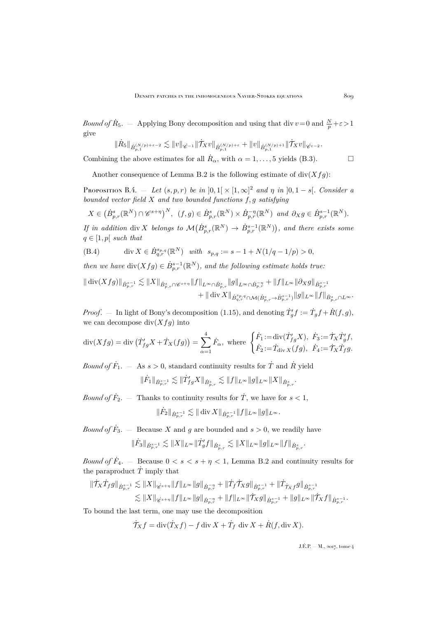*Bound of*  $\dot{R}_5$ .  $-$  Applying Bony decomposition and using that div  $v=0$  and  $\frac{N}{p}+\varepsilon > 1$ give

$$
\|\dot{R}_5\|_{\dot{B}_{p,1}^{(N/p)+\varepsilon-2}}\lesssim \|v\|_{\dot{\mathscr{C}}^{-1}}\|\dot{\mathcal{T}}_Xv\|_{\dot{B}_{p,1}^{(N/p)+\varepsilon}}+\|v\|_{\dot{B}_{p,1}^{(N/p)+1}}\|\dot{\mathcal{T}}_Xv\|_{\dot{\mathscr{C}}^{\varepsilon-2}}.
$$

Combining the above estimates for all  $\dot{R}_{\alpha}$ , with  $\alpha = 1, \ldots, 5$  yields [\(B.3\)](#page-27-1).

Another consequence of Lemma [B.2](#page-26-0) is the following estimate of  $div(Xfg)$ :

<span id="page-29-1"></span>Proposition B.4.  $-$  *Let*  $(s, p, r)$  *be in*  $]0, 1[ \times [1, \infty]^2$  *and*  $\eta$  *in*  $]0, 1 - s[$ *. Consider a bounded vector field* X *and two bounded functions* f, g *satisfying*

$$
X \in (\dot{B}_{p,r}^s(\mathbb{R}^N) \cap \mathscr{C}^{s+\eta})^N, (f,g) \in \dot{B}_{p,r}^s(\mathbb{R}^N) \times \dot{B}_{p,r}^{-\eta}(\mathbb{R}^N) \text{ and } \partial_X g \in \dot{B}_{p,r}^{s-1}(\mathbb{R}^N).
$$

If in addition div X *belongs* to  $\mathcal{M}(B_{p,r}^s(\mathbb{R}^N) \to \dot{B}_{p,r}^{s-1}(\mathbb{R}^N))$ , and there exists some  $q \in [1, p]$  *such that* 

<span id="page-29-0"></span>(B.4) 
$$
\operatorname{div} X \in \dot{B}^{s_{p,q}}_{q,r}(\mathbb{R}^N) \text{ with } s_{p,q} := s - 1 + N(1/q - 1/p) > 0,
$$

*then we have*  $\text{div}(Xfg) \in \dot{B}_{p,r}^{s-1}(\mathbb{R}^N)$ *, and the following estimate holds true:* 

$$
\begin{aligned} \|\operatorname{div}(Xfg)\|_{\dot{B}^{s-1}_{p,r}} \lesssim \|X\|_{\dot{B}^{s}_{p,r} \cap \mathscr{C}^{s+\eta}} \|f\|_{L^{\infty} \cap \dot{B}^{s}_{p,r}} \|g\|_{L^{\infty} \cap \dot{B}^{-\eta}_{p,r}} + \|f\|_{L^{\infty}} \|\partial_X g\|_{\dot{B}^{s-1}_{p,r}} \\ &+ \|\operatorname{div} X\|_{\dot{B}^{s_{p,q}}_{q,r} \cap \mathcal{M}(\dot{B}^{s}_{p,r} \rightarrow \dot{B}^{s-1}_{p,r})} \|g\|_{L^{\infty}} \|f\|_{\dot{B}^{s}_{p,r} \cap L^{\infty}}. \end{aligned}
$$

*Proof.* – In light of Bony's decomposition [\(1.15\)](#page-10-0), and denoting  $\dot{T}'_g f := \dot{T}_g f + \dot{R}(f, g)$ , we can decompose  $div(Xfg)$  into

$$
\operatorname{div}(Xfg) = \operatorname{div}\left(\dot{T}_{fg}'X + \dot{T}_X(fg)\right) = \sum_{\alpha=1}^4 \dot{F}_{\alpha}, \text{ where }\begin{cases} \dot{F}_1 := \operatorname{div}(\dot{T}_{fg}'X), & \dot{F}_3 := \dot{T}_X\dot{T}_g'f, \\ \dot{F}_2 := \dot{T}_{\operatorname{div}X}(fg), & \dot{F}_4 := \dot{T}_X\dot{T}_fg. \end{cases}
$$

*Bound of*  $\dot{F}_1$ .  $-$  As  $s > 0$ , standard continuity results for  $\dot{T}$  and  $\dot{R}$  yield

$$
\|\dot{F}_1\|_{\dot{B}^{s-1}_{p,r}}\lesssim \|\dot{T}'_{fg}X\|_{\dot{B}^s_{p,r}}\lesssim \|f\|_{L^\infty}\|g\|_{L^\infty}\|X\|_{\dot{B}^s_{p,r}}.
$$

*Bound of*  $\dot{F}_2$ . – Thanks to continuity results for  $\dot{T}$ , we have for  $s < 1$ ,

$$
\|\dot{F}_2\|_{\dot{B}^{s-1}_{p,r}}\lesssim \|\operatorname{div} X\|_{\dot{B}^{s-1}_{p,r}}\|f\|_{L^\infty}\|g\|_{L^\infty}.
$$

*Bound of*  $\dot{F}_3$ . – Because X and g are bounded and  $s > 0$ , we readily have

$$
\|\dot{F}_3\|_{\dot{B}^{s-1}_{p,r}} \lesssim \|X\|_{L^\infty} \|\dot{T}'_gf\|_{\dot{B}^{s}_{p,r}} \lesssim \|X\|_{L^\infty} \|g\|_{L^\infty} \|f\|_{\dot{B}^{s}_{p,r}}.
$$

*Bound of*  $\dot{F}_4$ . – Because  $0 < s < s + \eta < 1$ , Lemma [B.2](#page-26-0) and continuity results for the paraproduct  $\dot{T}$  imply that

$$
\begin{aligned} \|\dot{\mathcal{T}}_X\dot{T}_f g\|_{\dot{B}^{s-1}_{p,r}} \lesssim & ~{} \|X\|_{\dot{ {\mathscr C}^{s+\eta}}} \|f\|_{L^\infty} \|g\|_{\dot{B}^{-\eta}_{p,r}} + \|\dot{T}_f \dot{\mathcal{T}}_X g\|_{\dot{B}^{s-1}_{p,r}} + \|\dot{T}_{\dot{\mathcal{T}}_X f} g\|_{\dot{B}^{s-1}_{p,r}} \\ \lesssim & ~{} \|X\|_{\dot{ {\mathscr C}^{s+\eta}}} \|f\|_{L^\infty} \|g\|_{\dot{B}^{-\eta}_{p,r}} + \|f\|_{L^\infty} \|\dot{\mathcal{T}}_X g\|_{\dot{B}^{s-1}_{p,r}} + \|g\|_{L^\infty} \|\dot{\mathcal{T}}_X f\|_{\dot{B}^{s-1}_{p,r}}. \end{aligned}
$$

To bound the last term, one may use the decomposition

$$
\dot{\mathcal{T}}_X f = \operatorname{div}(\dot{T}_X f) - f \operatorname{div} X + \dot{T}_f \operatorname{div} X + \dot{R}(f, \operatorname{div} X).
$$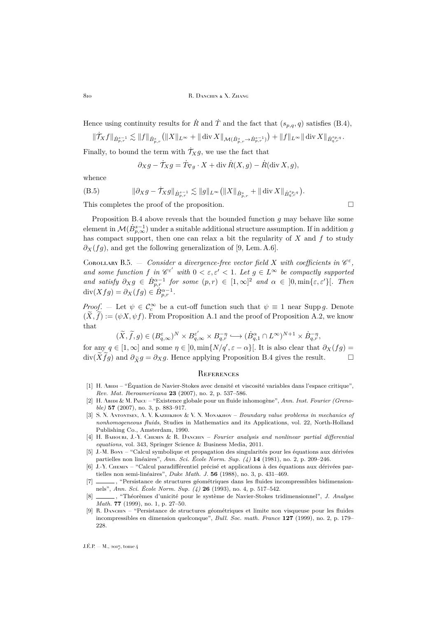810 R. DANCHIN & X. ZHANG

Hence using continuity results for  $\hat{R}$  and  $\hat{T}$  and the fact that  $(s_{p,q}, q)$  satisfies [\(B.4\)](#page-29-0),

$$
\|\dot{\mathcal{T}}_X f\|_{\dot{B}^{s-1}_{p,r}} \lesssim \|f\|_{\dot{B}^s_{p,r}} \big(\|X\|_{L^\infty} + \|\operatorname{div} X\|_{\mathcal{M}(\dot{B}^s_{p,r} \to \dot{B}^{s-1}_{p,r})}\big) + \|f\|_{L^\infty} \|\operatorname{div} X\|_{\dot{B}^{s_{p,q}}_{q,r}}.
$$

Finally, to bound the term with  $\dot{\mathcal{T}}_X q$ , we use the fact that

$$
\partial_X g - \dot{\mathcal{T}}_X g = \dot{\mathcal{T}}_{\nabla g} \cdot X + \text{div } \dot{R}(X, g) - \dot{R}(\text{div } X, g),
$$

whence

$$
(B.5) \t\t ||\partial_X g - \dot{\mathcal{T}}_X g||_{\dot{B}^{s-1}_{p,r}} \lesssim ||g||_{L^{\infty}} (||X||_{\dot{B}^s_{p,r}} + ||\operatorname{div} X||_{\dot{B}^{s_{p,q}}_{q,r}}).
$$

This completes the proof of the proposition.  $\Box$ 

Proposition [B.4](#page-29-1) above reveals that the bounded function  $g$  may behave like some element in  $\mathcal{M}(\dot{B}^{s-1}_{p,\infty})$  under a suitable additional structure assumption. If in addition  $g$ has compact support, then one can relax a bit the regularity of  $X$  and  $f$  to study  $\partial_X(fg)$ , and get the following generalization of [\[9,](#page-30-10) Lem. A.6].

<span id="page-30-8"></span>COROLLARY B.5.  $-$  Consider a divergence-free vector field X with coefficients in  $\mathscr{C}^{\varepsilon}$ , and some function f in  $\mathscr{C}^{\varepsilon'}$  with  $0 < \varepsilon, \varepsilon' < 1$ . Let  $g \in L^{\infty}$  be compactly supported and satisfy  $\partial_X g \in \dot{B}_{p,r}^{\alpha-1}$  for some  $(p,r) \in [1,\infty]^2$  and  $\alpha \in [0,\min\{\varepsilon,\varepsilon'\}].$  Then  $\operatorname{div}(Xfg) = \partial_X(fg) \in \dot{B}_{p,r}^{\alpha-1}.$ 

*Proof.* – Let  $\psi \in \mathcal{C}_c^{\infty}$  be a cut-off function such that  $\psi \equiv 1$  near Supp g. Denote  $(\widetilde{X}, \widetilde{f}) := (\psi X, \psi f)$ . From Proposition [A.1](#page-23-1) and the proof of Proposition [A.2,](#page-24-1) we know that  $\sim$ 

$$
(\widetilde{X},\widetilde{f},g)\in (B^\varepsilon_{q,\infty})^N\times B^{\varepsilon'}_{q,\infty}\times B^{-\eta}_{q,r}\hookrightarrow (\dot{B}^\alpha_{q,1}\cap L^\infty)^{N+1}\times\dot{B}^{-\eta}_{q,r},
$$

for any  $q \in [1,\infty]$  and some  $\eta \in [0,\min\{N/q',\varepsilon-\alpha\}]$ . It is also clear that  $\partial_X(fg) =$  $\text{div}(\widetilde{X}f)$  and  $\partial_{\widetilde{X}}g = \partial_{X}g$ . Hence applying Proposition [B.4](#page-29-1) gives the result.  $\Box$ 

#### <span id="page-30-0"></span>**REFERENCES**

- <span id="page-30-4"></span>[1] H. Abidi – "Équation de Navier-Stokes avec densité et viscosité variables dans l'espace critique", *Rev. Mat. Iberoamericana* **23** (2007), no. 2, p. 537–586.
- <span id="page-30-5"></span>[2] H. Abidi & M. Paicu – "Existence globale pour un fluide inhomogène", *Ann. Inst. Fourier (Grenoble)* **57** (2007), no. 3, p. 883–917.
- <span id="page-30-1"></span>[3] S. N. Antontsev, A. V. Kazhikhov & V. N. Monakhov – *Boundary value problems in mechanics of nonhomogeneous fluids*, Studies in Mathematics and its Applications, vol. 22, North-Holland Publishing Co., Amsterdam, 1990.
- <span id="page-30-3"></span>[4] H. Bahouri, J.-Y. Chemin & R. Danchin – *Fourier analysis and nonlinear partial differential equations*, vol. 343, Springer Science & Business Media, 2011.
- <span id="page-30-7"></span>[5] J.-M. Bony – "Calcul symbolique et propagation des singularités pour les équations aux dérivées partielles non linéaires", *Ann. Sci. École Norm. Sup. (4)* **14** (1981), no. 2, p. 209–246.
- <span id="page-30-9"></span>[6] J.-Y. Chemin – "Calcul paradifférentiel précisé et applications à des équations aux dérivées partielles non semi-linéaires", *Duke Math. J.* **56** (1988), no. 3, p. 431–469.
- <span id="page-30-2"></span> $\_\_$ , "Persistance de structures géométriques dans les fluides incompressibles bidimensionnels", *Ann. Sci. École Norm. Sup. (4)* **26** (1993), no. 4, p. 517–542.
- <span id="page-30-6"></span>[8] , "Théorèmes d'unicité pour le système de Navier-Stokes tridimensionnel", *J. Analyse Math.* **77** (1999), no. 1, p. 27–50.
- <span id="page-30-10"></span>[9] R. Danchin – "Persistance de structures géométriques et limite non visqueuse pour les fluides incompressibles en dimension quelconque", *Bull. Soc. math. France* **127** (1999), no. 2, p. 179– 228.